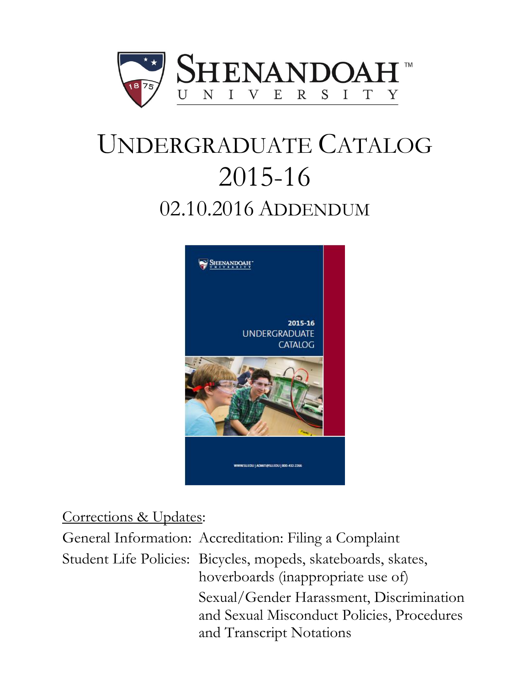

# UNDERGRADUATE CATALOG 2015-16 02.10.2016 ADDENDUM



# Corrections & Updates:

General Information: Accreditation: Filing a Complaint Student Life Policies: Bicycles, mopeds, skateboards, skates, hoverboards (inappropriate use of) Sexual/Gender Harassment, Discrimination and Sexual Misconduct Policies, Procedures and Transcript Notations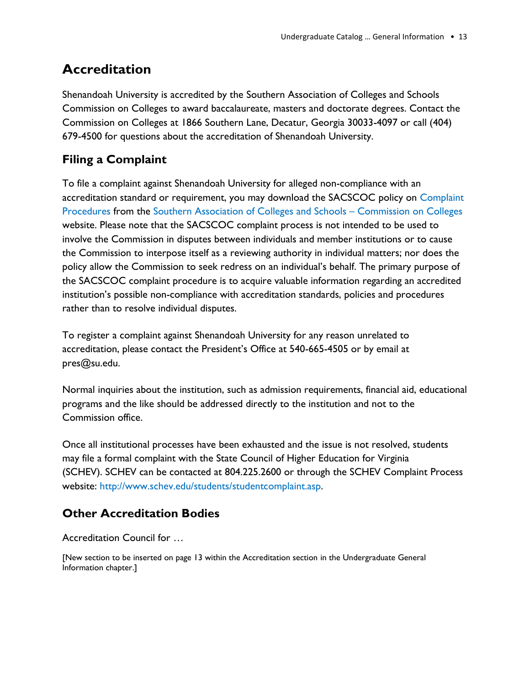# **Accreditation**

Shenandoah University is accredited by the Southern Association of Colleges and Schools Commission on Colleges to award baccalaureate, masters and doctorate degrees. Contact the Commission on Colleges at 1866 Southern Lane, Decatur, Georgia 30033-4097 or call (404) 679-4500 for questions about the accreditation of Shenandoah University.

# **Filing a Complaint**

To file a complaint against Shenandoah University for alleged non-compliance with an accreditation standard or requirement, you may download the SACSCOC policy on [Complaint](http://www.sacscoc.org/pdf/081705/complaintpolicy.pdf)  [Procedures](http://www.sacscoc.org/pdf/081705/complaintpolicy.pdf) from the [Southern Association of Colleges and Schools](http://www.sacscoc.org/) – Commission on Colleges website. Please note that the SACSCOC complaint process is not intended to be used to involve the Commission in disputes between individuals and member institutions or to cause the Commission to interpose itself as a reviewing authority in individual matters; nor does the policy allow the Commission to seek redress on an individual's behalf. The primary purpose of the SACSCOC complaint procedure is to acquire valuable information regarding an accredited institution's possible non-compliance with accreditation standards, policies and procedures rather than to resolve individual disputes.

To register a complaint against Shenandoah University for any reason unrelated to accreditation, please contact the President's Office at 540-665-4505 or by email at pres@su.edu.

Normal inquiries about the institution, such as admission requirements, financial aid, educational programs and the like should be addressed directly to the institution and not to the Commission office.

Once all institutional processes have been exhausted and the issue is not resolved, students may file a formal complaint with the State Council of Higher Education for Virginia (SCHEV). SCHEV can be contacted at [804.225.2600](tel:804.225.2600) or through the SCHEV Complaint Process website: [http://www.schev.edu/students/studentcomplaint.asp.](http://www.schev.edu/students/studentcomplaint.asp)

# **Other Accreditation Bodies**

#### Accreditation Council for …

[New section to be inserted on page 13 within the Accreditation section in the Undergraduate General Information chapter.]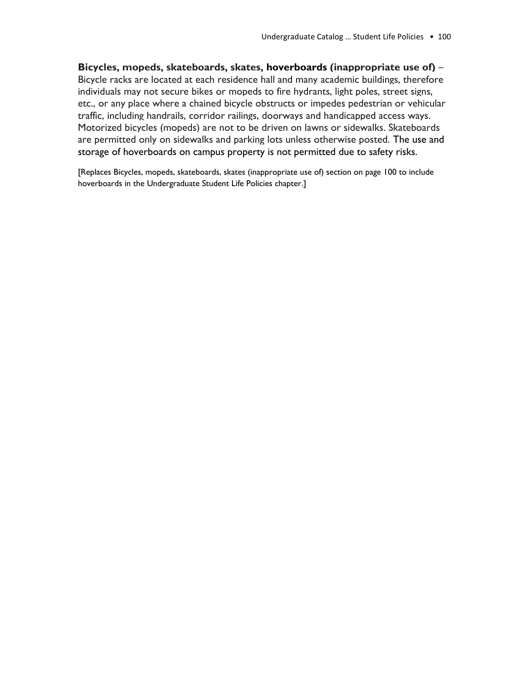**Bicycles, mopeds, skateboards, skates, hoverboards (inappropriate use of)** – Bicycle racks are located at each residence hall and many academic buildings, therefore individuals may not secure bikes or mopeds to fire hydrants, light poles, street signs, etc., or any place where a chained bicycle obstructs or impedes pedestrian or vehicular traffic, including handrails, corridor railings, doorways and handicapped access ways. Motorized bicycles (mopeds) are not to be driven on lawns or sidewalks. Skateboards are permitted only on sidewalks and parking lots unless otherwise posted. The use and storage of hoverboards on campus property is not permitted due to safety risks.

[Replaces Bicycles, mopeds, skateboards, skates (inappropriate use of) section on page 100 to include hoverboards in the Undergraduate Student Life Policies chapter.]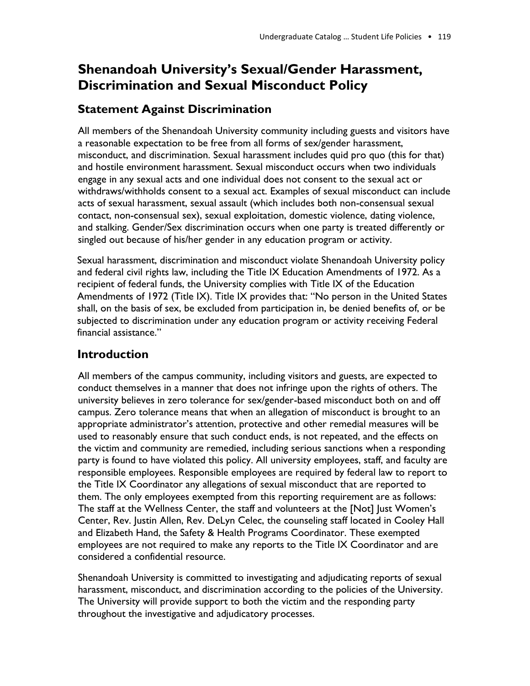# **Shenandoah University's Sexual/Gender Harassment, Discrimination and Sexual Misconduct Policy**

# **Statement Against Discrimination**

All members of the Shenandoah University community including guests and visitors have a reasonable expectation to be free from all forms of sex/gender harassment, misconduct, and discrimination. Sexual harassment includes quid pro quo (this for that) and hostile environment harassment. Sexual misconduct occurs when two individuals engage in any sexual acts and one individual does not consent to the sexual act or withdraws/withholds consent to a sexual act. Examples of sexual misconduct can include acts of sexual harassment, sexual assault (which includes both non-consensual sexual contact, non-consensual sex), sexual exploitation, domestic violence, dating violence, and stalking. Gender/Sex discrimination occurs when one party is treated differently or singled out because of his/her gender in any education program or activity.

Sexual harassment, discrimination and misconduct violate Shenandoah University policy and federal civil rights law, including the Title IX Education Amendments of 1972. As a recipient of federal funds, the University complies with Title IX of the Education Amendments of 1972 (Title IX). Title IX provides that: "No person in the United States shall, on the basis of sex, be excluded from participation in, be denied benefits of, or be subjected to discrimination under any education program or activity receiving Federal financial assistance."

# **Introduction**

All members of the campus community, including visitors and guests, are expected to conduct themselves in a manner that does not infringe upon the rights of others. The university believes in zero tolerance for sex/gender-based misconduct both on and off campus. Zero tolerance means that when an allegation of misconduct is brought to an appropriate administrator's attention, protective and other remedial measures will be used to reasonably ensure that such conduct ends, is not repeated, and the effects on the victim and community are remedied, including serious sanctions when a responding party is found to have violated this policy. All university employees, staff, and faculty are responsible employees. Responsible employees are required by federal law to report to the Title IX Coordinator any allegations of sexual misconduct that are reported to them. The only employees exempted from this reporting requirement are as follows: The staff at the Wellness Center, the staff and volunteers at the [Not] Just Women's Center, Rev. Justin Allen, Rev. DeLyn Celec, the counseling staff located in Cooley Hall and Elizabeth Hand, the Safety & Health Programs Coordinator. These exempted employees are not required to make any reports to the Title IX Coordinator and are considered a confidential resource.

Shenandoah University is committed to investigating and adjudicating reports of sexual harassment, misconduct, and discrimination according to the policies of the University. The University will provide support to both the victim and the responding party throughout the investigative and adjudicatory processes.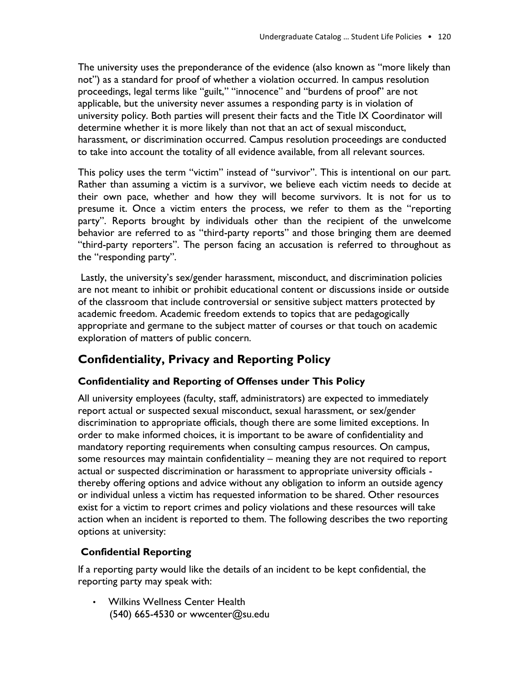The university uses the preponderance of the evidence (also known as "more likely than not") as a standard for proof of whether a violation occurred. In campus resolution proceedings, legal terms like "guilt," "innocence" and "burdens of proof" are not applicable, but the university never assumes a responding party is in violation of university policy. Both parties will present their facts and the Title IX Coordinator will determine whether it is more likely than not that an act of sexual misconduct, harassment, or discrimination occurred. Campus resolution proceedings are conducted to take into account the totality of all evidence available, from all relevant sources.

This policy uses the term "victim" instead of "survivor". This is intentional on our part. Rather than assuming a victim is a survivor, we believe each victim needs to decide at their own pace, whether and how they will become survivors. It is not for us to presume it. Once a victim enters the process, we refer to them as the "reporting party". Reports brought by individuals other than the recipient of the unwelcome behavior are referred to as "third-party reports" and those bringing them are deemed "third-party reporters". The person facing an accusation is referred to throughout as the "responding party".

Lastly, the university's sex/gender harassment, misconduct, and discrimination policies are not meant to inhibit or prohibit educational content or discussions inside or outside of the classroom that include controversial or sensitive subject matters protected by academic freedom. Academic freedom extends to topics that are pedagogically appropriate and germane to the subject matter of courses or that touch on academic exploration of matters of public concern.

# **Confidentiality, Privacy and Reporting Policy**

#### **Confidentiality and Reporting of Offenses under This Policy**

All university employees (faculty, staff, administrators) are expected to immediately report actual or suspected sexual misconduct, sexual harassment, or sex/gender discrimination to appropriate officials, though there are some limited exceptions. In order to make informed choices, it is important to be aware of confidentiality and mandatory reporting requirements when consulting campus resources. On campus, some resources may maintain confidentiality – meaning they are not required to report actual or suspected discrimination or harassment to appropriate university officials thereby offering options and advice without any obligation to inform an outside agency or individual unless a victim has requested information to be shared. Other resources exist for a victim to report crimes and policy violations and these resources will take action when an incident is reported to them. The following describes the two reporting options at university:

#### **Confidential Reporting**

If a reporting party would like the details of an incident to be kept confidential, the reporting party may speak with:

• Wilkins Wellness Center Health (540) 665-4530 or wwcenter@su.edu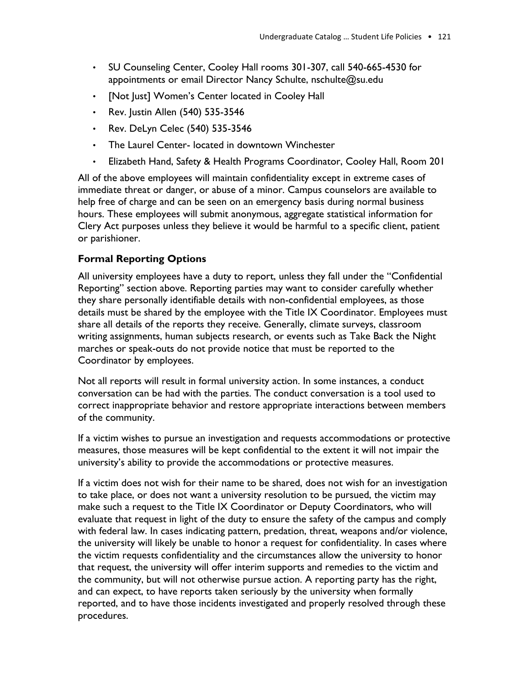- SU Counseling Center, Cooley Hall rooms 301-307, call 540-665-4530 for appointments or email Director Nancy Schulte, nschulte@su.edu
- [Not Just] Women's Center located in Cooley Hall
- Rev. Justin Allen (540) 535-3546
- Rev. DeLyn Celec (540) 535-3546
- The Laurel Center- located in downtown Winchester
- Elizabeth Hand, Safety & Health Programs Coordinator, Cooley Hall, Room 201

All of the above employees will maintain confidentiality except in extreme cases of immediate threat or danger, or abuse of a minor. Campus counselors are available to help free of charge and can be seen on an emergency basis during normal business hours. These employees will submit anonymous, aggregate statistical information for Clery Act purposes unless they believe it would be harmful to a specific client, patient or parishioner.

#### **Formal Reporting Options**

All university employees have a duty to report, unless they fall under the "Confidential Reporting" section above. Reporting parties may want to consider carefully whether they share personally identifiable details with non-confidential employees, as those details must be shared by the employee with the Title IX Coordinator. Employees must share all details of the reports they receive. Generally, climate surveys, classroom writing assignments, human subjects research, or events such as Take Back the Night marches or speak-outs do not provide notice that must be reported to the Coordinator by employees.

Not all reports will result in formal university action. In some instances, a conduct conversation can be had with the parties. The conduct conversation is a tool used to correct inappropriate behavior and restore appropriate interactions between members of the community.

If a victim wishes to pursue an investigation and requests accommodations or protective measures, those measures will be kept confidential to the extent it will not impair the university's ability to provide the accommodations or protective measures.

If a victim does not wish for their name to be shared, does not wish for an investigation to take place, or does not want a university resolution to be pursued, the victim may make such a request to the Title IX Coordinator or Deputy Coordinators, who will evaluate that request in light of the duty to ensure the safety of the campus and comply with federal law. In cases indicating pattern, predation, threat, weapons and/or violence, the university will likely be unable to honor a request for confidentiality. In cases where the victim requests confidentiality and the circumstances allow the university to honor that request, the university will offer interim supports and remedies to the victim and the community, but will not otherwise pursue action. A reporting party has the right, and can expect, to have reports taken seriously by the university when formally reported, and to have those incidents investigated and properly resolved through these procedures.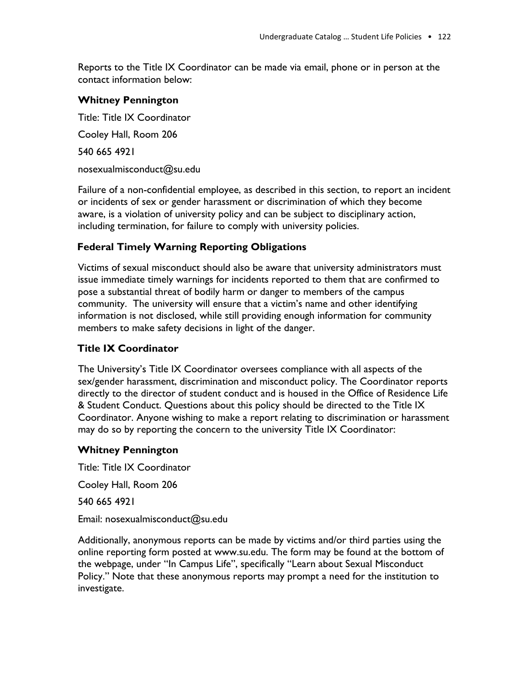Reports to the Title IX Coordinator can be made via email, phone or in person at the contact information below:

#### **Whitney Pennington**

Title: Title IX Coordinator Cooley Hall, Room 206 540 665 4921 nosexualmisconduct@su.edu

Failure of a non-confidential employee, as described in this section, to report an incident or incidents of sex or gender harassment or discrimination of which they become aware, is a violation of university policy and can be subject to disciplinary action, including termination, for failure to comply with university policies.

#### **Federal Timely Warning Reporting Obligations**

Victims of sexual misconduct should also be aware that university administrators must issue immediate timely warnings for incidents reported to them that are confirmed to pose a substantial threat of bodily harm or danger to members of the campus community. The university will ensure that a victim's name and other identifying information is not disclosed, while still providing enough information for community members to make safety decisions in light of the danger.

#### **Title IX Coordinator**

The University's Title IX Coordinator oversees compliance with all aspects of the sex/gender harassment, discrimination and misconduct policy. The Coordinator reports directly to the director of student conduct and is housed in the Office of Residence Life & Student Conduct. Questions about this policy should be directed to the Title IX Coordinator. Anyone wishing to make a report relating to discrimination or harassment may do so by reporting the concern to the university Title IX Coordinator:

#### **Whitney Pennington**

Title: Title IX Coordinator

Cooley Hall, Room 206

540 665 4921

Email: nosexualmisconduct@su.edu

Additionally, anonymous reports can be made by victims and/or third parties using the online reporting form posted at www.su.edu. The form may be found at the bottom of the webpage, under "In Campus Life", specifically "Learn about Sexual Misconduct Policy." Note that these anonymous reports may prompt a need for the institution to investigate.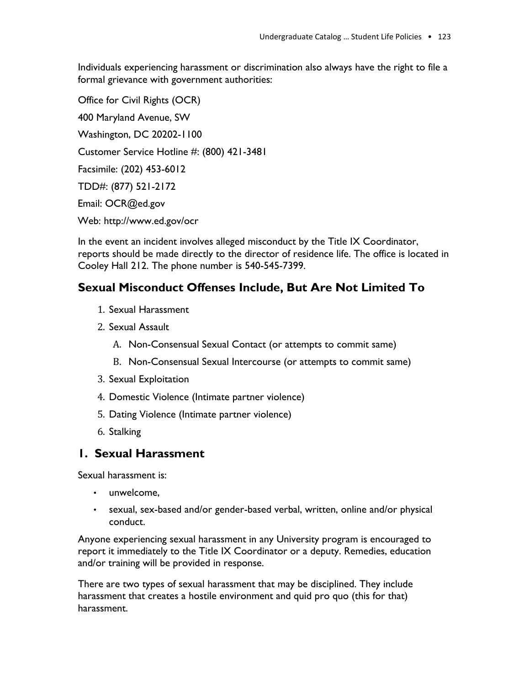Individuals experiencing harassment or discrimination also always have the right to file a formal grievance with government authorities:

Office for Civil Rights (OCR) 400 Maryland Avenue, SW Washington, DC 20202-1100 Customer Service Hotline #: (800) 421-3481 Facsimile: (202) 453-6012 TDD#: (877) 521-2172 Email: OCR@ed.gov Web: http://www.ed.gov/ocr

In the event an incident involves alleged misconduct by the Title IX Coordinator, reports should be made directly to the director of residence life. The office is located in Cooley Hall 212. The phone number is 540-545-7399.

# **Sexual Misconduct Offenses Include, But Are Not Limited To**

- 1. Sexual Harassment
- 2. Sexual Assault
	- A. Non-Consensual Sexual Contact (or attempts to commit same)
	- B. Non-Consensual Sexual Intercourse (or attempts to commit same)
- 3. Sexual Exploitation
- 4. Domestic Violence (Intimate partner violence)
- 5. Dating Violence (Intimate partner violence)
- 6. Stalking

## **1. Sexual Harassment**

Sexual harassment is:

- unwelcome,
- sexual, sex-based and/or gender-based verbal, written, online and/or physical conduct.

Anyone experiencing sexual harassment in any University program is encouraged to report it immediately to the Title IX Coordinator or a deputy. Remedies, education and/or training will be provided in response.

There are two types of sexual harassment that may be disciplined. They include harassment that creates a hostile environment and quid pro quo (this for that) harassment.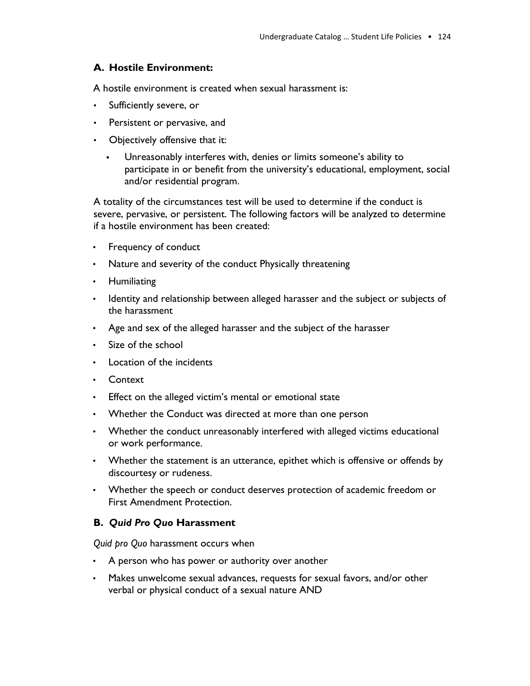#### **A. Hostile Environment:**

A hostile environment is created when sexual harassment is:

- Sufficiently severe, or
- Persistent or pervasive, and
- Objectively offensive that it:
	- Unreasonably interferes with, denies or limits someone's ability to participate in or benefit from the university's educational, employment, social and/or residential program.

A totality of the circumstances test will be used to determine if the conduct is severe, pervasive, or persistent. The following factors will be analyzed to determine if a hostile environment has been created:

- Frequency of conduct
- Nature and severity of the conduct Physically threatening
- Humiliating
- Identity and relationship between alleged harasser and the subject or subjects of the harassment
- Age and sex of the alleged harasser and the subject of the harasser
- Size of the school
- Location of the incidents
- Context
- Effect on the alleged victim's mental or emotional state
- Whether the Conduct was directed at more than one person
- Whether the conduct unreasonably interfered with alleged victims educational or work performance.
- Whether the statement is an utterance, epithet which is offensive or offends by discourtesy or rudeness.
- Whether the speech or conduct deserves protection of academic freedom or First Amendment Protection.

#### **B.** *Quid Pro Quo* **Harassment**

*Quid pro Quo* harassment occurs when

- A person who has power or authority over another
- Makes unwelcome sexual advances, requests for sexual favors, and/or other verbal or physical conduct of a sexual nature AND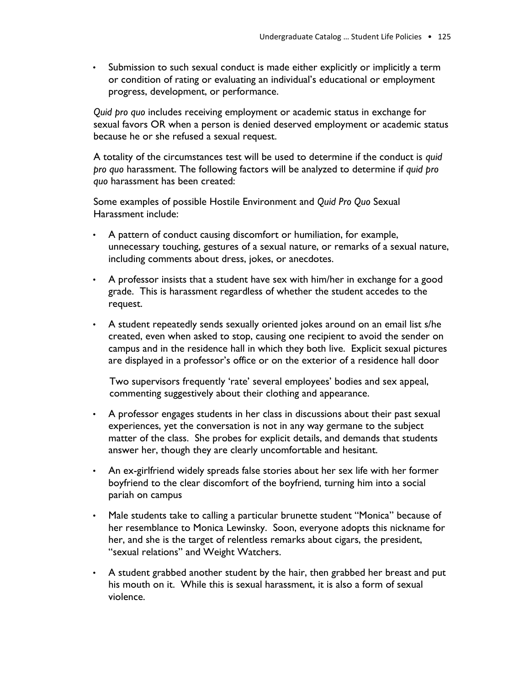• Submission to such sexual conduct is made either explicitly or implicitly a term or condition of rating or evaluating an individual's educational or employment progress, development, or performance.

*Quid pro quo* includes receiving employment or academic status in exchange for sexual favors OR when a person is denied deserved employment or academic status because he or she refused a sexual request.

A totality of the circumstances test will be used to determine if the conduct is *quid pro quo* harassment. The following factors will be analyzed to determine if *quid pro quo* harassment has been created:

Some examples of possible Hostile Environment and *Quid Pro Quo* Sexual Harassment include:

- A pattern of conduct causing discomfort or humiliation, for example, unnecessary touching, gestures of a sexual nature, or remarks of a sexual nature, including comments about dress, jokes, or anecdotes.
- A professor insists that a student have sex with him/her in exchange for a good grade. This is harassment regardless of whether the student accedes to the request.
- A student repeatedly sends sexually oriented jokes around on an email list s/he created, even when asked to stop, causing one recipient to avoid the sender on campus and in the residence hall in which they both live. Explicit sexual pictures are displayed in a professor's office or on the exterior of a residence hall door

Two supervisors frequently 'rate' several employees' bodies and sex appeal, commenting suggestively about their clothing and appearance.

- A professor engages students in her class in discussions about their past sexual experiences, yet the conversation is not in any way germane to the subject matter of the class. She probes for explicit details, and demands that students answer her, though they are clearly uncomfortable and hesitant.
- An ex-girlfriend widely spreads false stories about her sex life with her former boyfriend to the clear discomfort of the boyfriend, turning him into a social pariah on campus
- Male students take to calling a particular brunette student "Monica" because of her resemblance to Monica Lewinsky. Soon, everyone adopts this nickname for her, and she is the target of relentless remarks about cigars, the president, "sexual relations" and Weight Watchers.
- A student grabbed another student by the hair, then grabbed her breast and put his mouth on it. While this is sexual harassment, it is also a form of sexual violence.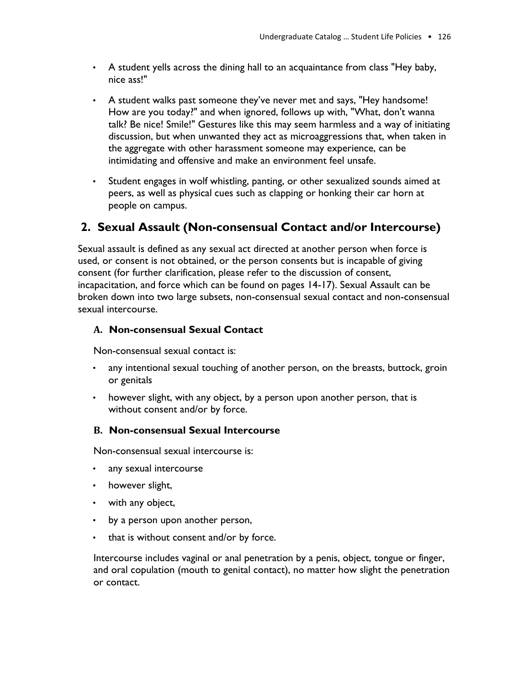- A student yells across the dining hall to an acquaintance from class "Hey baby, nice ass!"
- A student walks past someone they've never met and says, "Hey handsome! How are you today?" and when ignored, follows up with, "What, don't wanna talk? Be nice! Smile!" Gestures like this may seem harmless and a way of initiating discussion, but when unwanted they act as microaggressions that, when taken in the aggregate with other harassment someone may experience, can be intimidating and offensive and make an environment feel unsafe.
- Student engages in wolf whistling, panting, or other sexualized sounds aimed at peers, as well as physical cues such as clapping or honking their car horn at people on campus.

# **2. Sexual Assault (Non-consensual Contact and/or Intercourse)**

Sexual assault is defined as any sexual act directed at another person when force is used, or consent is not obtained, or the person consents but is incapable of giving consent (for further clarification, please refer to the discussion of consent, incapacitation, and force which can be found on pages 14-17). Sexual Assault can be broken down into two large subsets, non-consensual sexual contact and non-consensual sexual intercourse.

#### **A. Non-consensual Sexual Contact**

Non-consensual sexual contact is:

- any intentional sexual touching of another person, on the breasts, buttock, groin or genitals
- however slight, with any object, by a person upon another person, that is without consent and/or by force.

#### **B. Non-consensual Sexual Intercourse**

Non-consensual sexual intercourse is:

- any sexual intercourse
- however slight,
- with any object,
- by a person upon another person,
- that is without consent and/or by force.

Intercourse includes vaginal or anal penetration by a penis, object, tongue or finger, and oral copulation (mouth to genital contact), no matter how slight the penetration or contact.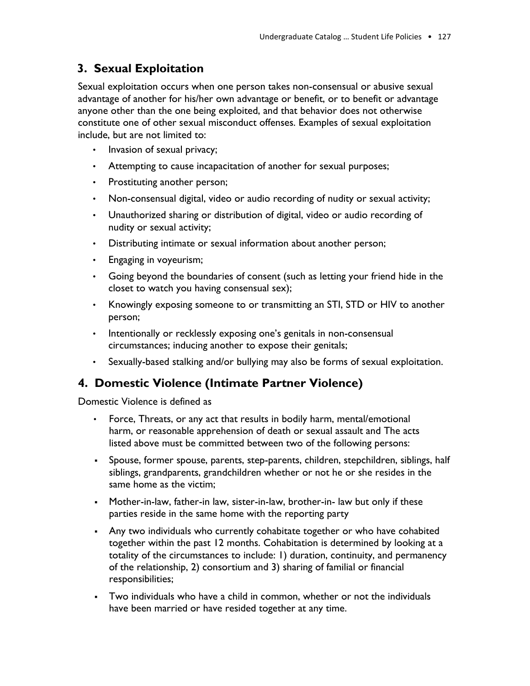# **3. Sexual Exploitation**

Sexual exploitation occurs when one person takes non-consensual or abusive sexual advantage of another for his/her own advantage or benefit, or to benefit or advantage anyone other than the one being exploited, and that behavior does not otherwise constitute one of other sexual misconduct offenses. Examples of sexual exploitation include, but are not limited to:

- Invasion of sexual privacy;
- Attempting to cause incapacitation of another for sexual purposes;
- Prostituting another person;
- Non-consensual digital, video or audio recording of nudity or sexual activity;
- Unauthorized sharing or distribution of digital, video or audio recording of nudity or sexual activity;
- Distributing intimate or sexual information about another person;
- Engaging in voyeurism;
- Going beyond the boundaries of consent (such as letting your friend hide in the closet to watch you having consensual sex);
- Knowingly exposing someone to or transmitting an STI, STD or HIV to another person;
- Intentionally or recklessly exposing one's genitals in non-consensual circumstances; inducing another to expose their genitals;
- Sexually-based stalking and/or bullying may also be forms of sexual exploitation.

## **4. Domestic Violence (Intimate Partner Violence)**

Domestic Violence is defined as

- Force, Threats, or any act that results in bodily harm, mental/emotional harm, or reasonable apprehension of death or sexual assault and The acts listed above must be committed between two of the following persons:
- Spouse, former spouse, parents, step-parents, children, stepchildren, siblings, half siblings, grandparents, grandchildren whether or not he or she resides in the same home as the victim;
- Mother-in-law, father-in law, sister-in-law, brother-in- law but only if these parties reside in the same home with the reporting party
- **Any two individuals who currently cohabitate together or who have cohabited** together within the past 12 months. Cohabitation is determined by looking at a totality of the circumstances to include: 1) duration, continuity, and permanency of the relationship, 2) consortium and 3) sharing of familial or financial responsibilities;
- Two individuals who have a child in common, whether or not the individuals have been married or have resided together at any time.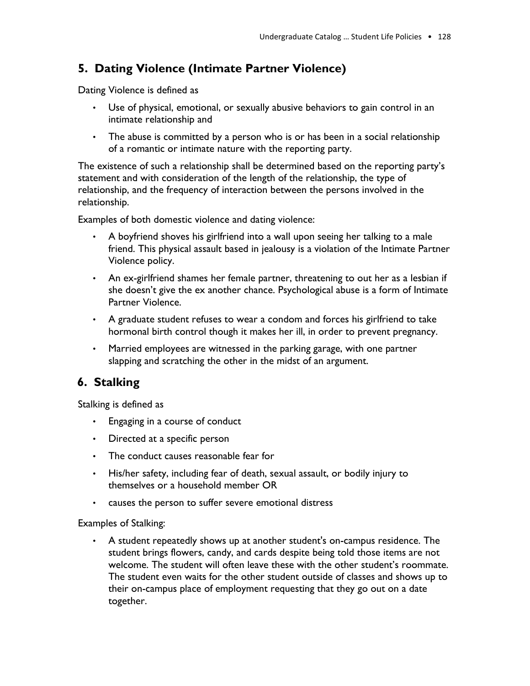# **5. Dating Violence (Intimate Partner Violence)**

Dating Violence is defined as

- Use of physical, emotional, or sexually abusive behaviors to gain control in an intimate relationship and
- The abuse is committed by a person who is or has been in a social relationship of a romantic or intimate nature with the reporting party.

The existence of such a relationship shall be determined based on the reporting party's statement and with consideration of the length of the relationship, the type of relationship, and the frequency of interaction between the persons involved in the relationship.

Examples of both domestic violence and dating violence:

- A boyfriend shoves his girlfriend into a wall upon seeing her talking to a male friend. This physical assault based in jealousy is a violation of the Intimate Partner Violence policy.
- An ex-girlfriend shames her female partner, threatening to out her as a lesbian if she doesn't give the ex another chance. Psychological abuse is a form of Intimate Partner Violence.
- A graduate student refuses to wear a condom and forces his girlfriend to take hormonal birth control though it makes her ill, in order to prevent pregnancy.
- Married employees are witnessed in the parking garage, with one partner slapping and scratching the other in the midst of an argument.

# **6. Stalking**

Stalking is defined as

- Engaging in a course of conduct
- Directed at a specific person
- The conduct causes reasonable fear for
- His/her safety, including fear of death, sexual assault, or bodily injury to themselves or a household member OR
- causes the person to suffer severe emotional distress

#### Examples of Stalking:

• A student repeatedly shows up at another student's on-campus residence. The student brings flowers, candy, and cards despite being told those items are not welcome. The student will often leave these with the other student's roommate. The student even waits for the other student outside of classes and shows up to their on-campus place of employment requesting that they go out on a date together.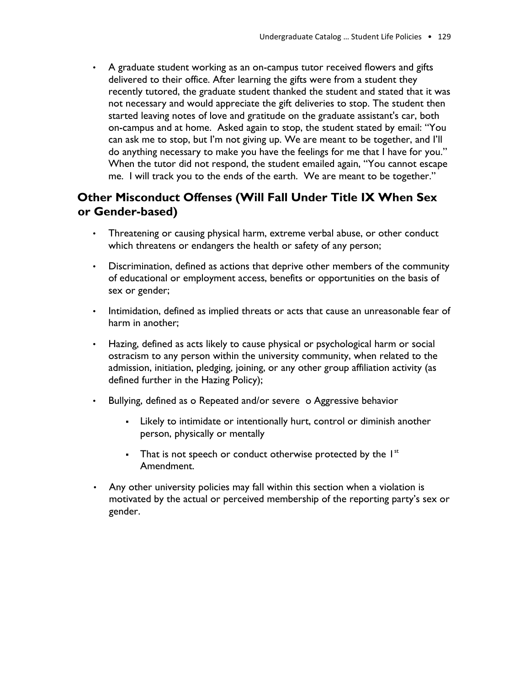• A graduate student working as an on-campus tutor received flowers and gifts delivered to their office. After learning the gifts were from a student they recently tutored, the graduate student thanked the student and stated that it was not necessary and would appreciate the gift deliveries to stop. The student then started leaving notes of love and gratitude on the graduate assistant's car, both on-campus and at home. Asked again to stop, the student stated by email: "You can ask me to stop, but I'm not giving up. We are meant to be together, and I'll do anything necessary to make you have the feelings for me that I have for you." When the tutor did not respond, the student emailed again, "You cannot escape me. I will track you to the ends of the earth. We are meant to be together."

# **Other Misconduct Offenses (Will Fall Under Title IX When Sex or Gender-based)**

- Threatening or causing physical harm, extreme verbal abuse, or other conduct which threatens or endangers the health or safety of any person;
- Discrimination, defined as actions that deprive other members of the community of educational or employment access, benefits or opportunities on the basis of sex or gender;
- Intimidation, defined as implied threats or acts that cause an unreasonable fear of harm in another;
- Hazing, defined as acts likely to cause physical or psychological harm or social ostracism to any person within the university community, when related to the admission, initiation, pledging, joining, or any other group affiliation activity (as defined further in the Hazing Policy);
- Bullying, defined as o Repeated and/or severe o Aggressive behavior
	- **•** Likely to intimidate or intentionally hurt, control or diminish another person, physically or mentally
	- **•** That is not speech or conduct otherwise protected by the  $I<sup>st</sup>$ Amendment.
- Any other university policies may fall within this section when a violation is motivated by the actual or perceived membership of the reporting party's sex or gender.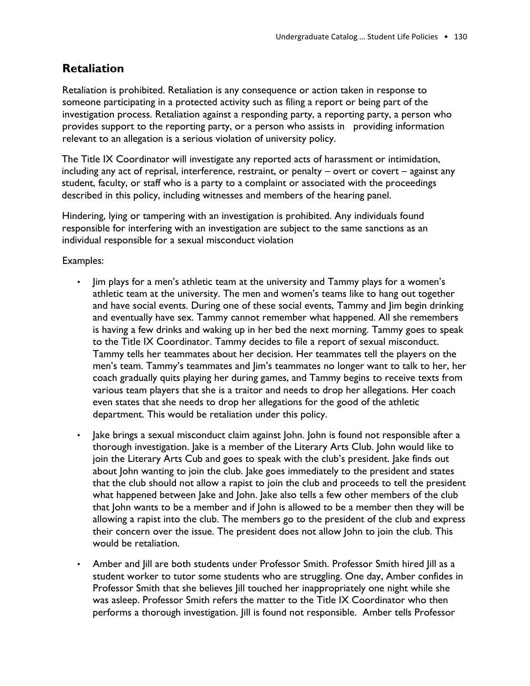# **Retaliation**

Retaliation is prohibited. Retaliation is any consequence or action taken in response to someone participating in a protected activity such as filing a report or being part of the investigation process. Retaliation against a responding party, a reporting party, a person who provides support to the reporting party, or a person who assists in providing information relevant to an allegation is a serious violation of university policy.

The Title IX Coordinator will investigate any reported acts of harassment or intimidation, including any act of reprisal, interference, restraint, or penalty – overt or covert – against any student, faculty, or staff who is a party to a complaint or associated with the proceedings described in this policy, including witnesses and members of the hearing panel.

Hindering, lying or tampering with an investigation is prohibited. Any individuals found responsible for interfering with an investigation are subject to the same sanctions as an individual responsible for a sexual misconduct violation

Examples:

- Jim plays for a men's athletic team at the university and Tammy plays for a women's athletic team at the university. The men and women's teams like to hang out together and have social events. During one of these social events, Tammy and Jim begin drinking and eventually have sex. Tammy cannot remember what happened. All she remembers is having a few drinks and waking up in her bed the next morning. Tammy goes to speak to the Title IX Coordinator. Tammy decides to file a report of sexual misconduct. Tammy tells her teammates about her decision. Her teammates tell the players on the men's team. Tammy's teammates and Jim's teammates no longer want to talk to her, her coach gradually quits playing her during games, and Tammy begins to receive texts from various team players that she is a traitor and needs to drop her allegations. Her coach even states that she needs to drop her allegations for the good of the athletic department. This would be retaliation under this policy.
- Jake brings a sexual misconduct claim against John. John is found not responsible after a thorough investigation. Jake is a member of the Literary Arts Club. John would like to join the Literary Arts Cub and goes to speak with the club's president. Jake finds out about John wanting to join the club. Jake goes immediately to the president and states that the club should not allow a rapist to join the club and proceeds to tell the president what happened between Jake and John. Jake also tells a few other members of the club that John wants to be a member and if John is allowed to be a member then they will be allowing a rapist into the club. The members go to the president of the club and express their concern over the issue. The president does not allow John to join the club. This would be retaliation.
- Amber and Jill are both students under Professor Smith. Professor Smith hired Jill as a student worker to tutor some students who are struggling. One day, Amber confides in Professor Smith that she believes Jill touched her inappropriately one night while she was asleep. Professor Smith refers the matter to the Title IX Coordinator who then performs a thorough investigation. Jill is found not responsible. Amber tells Professor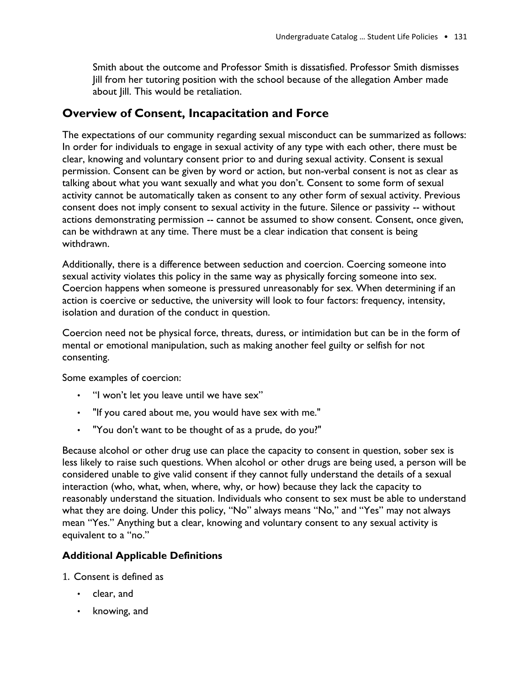Smith about the outcome and Professor Smith is dissatisfied. Professor Smith dismisses Jill from her tutoring position with the school because of the allegation Amber made about Jill. This would be retaliation.

# **Overview of Consent, Incapacitation and Force**

The expectations of our community regarding sexual misconduct can be summarized as follows: In order for individuals to engage in sexual activity of any type with each other, there must be clear, knowing and voluntary consent prior to and during sexual activity. Consent is sexual permission. Consent can be given by word or action, but non-verbal consent is not as clear as talking about what you want sexually and what you don't. Consent to some form of sexual activity cannot be automatically taken as consent to any other form of sexual activity. Previous consent does not imply consent to sexual activity in the future. Silence or passivity -- without actions demonstrating permission -- cannot be assumed to show consent. Consent, once given, can be withdrawn at any time. There must be a clear indication that consent is being withdrawn.

Additionally, there is a difference between seduction and coercion. Coercing someone into sexual activity violates this policy in the same way as physically forcing someone into sex. Coercion happens when someone is pressured unreasonably for sex. When determining if an action is coercive or seductive, the university will look to four factors: frequency, intensity, isolation and duration of the conduct in question.

Coercion need not be physical force, threats, duress, or intimidation but can be in the form of mental or emotional manipulation, such as making another feel guilty or selfish for not consenting.

Some examples of coercion:

- "I won't let you leave until we have sex"
- "If you cared about me, you would have sex with me."
- "You don't want to be thought of as a prude, do you?"

Because alcohol or other drug use can place the capacity to consent in question, sober sex is less likely to raise such questions. When alcohol or other drugs are being used, a person will be considered unable to give valid consent if they cannot fully understand the details of a sexual interaction (who, what, when, where, why, or how) because they lack the capacity to reasonably understand the situation. Individuals who consent to sex must be able to understand what they are doing. Under this policy, "No" always means "No," and "Yes" may not always mean "Yes." Anything but a clear, knowing and voluntary consent to any sexual activity is equivalent to a "no."

#### **Additional Applicable Definitions**

- 1. Consent is defined as
	- clear, and
	- knowing, and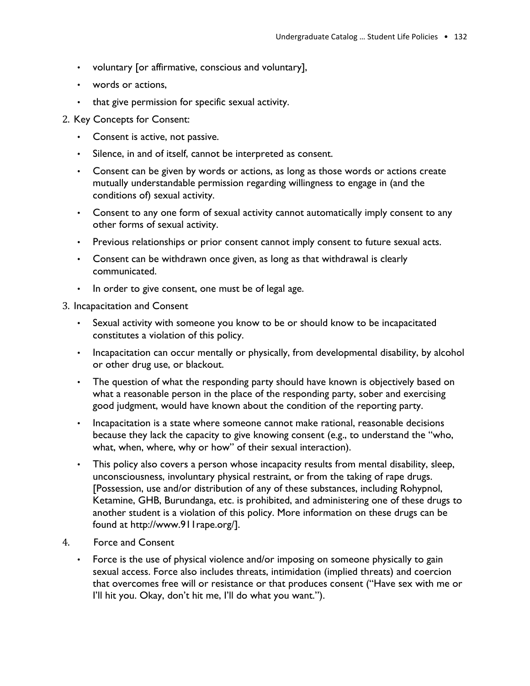- voluntary [or affirmative, conscious and voluntary],
- words or actions,
- that give permission for specific sexual activity.
- 2. Key Concepts for Consent:
	- Consent is active, not passive.
	- Silence, in and of itself, cannot be interpreted as consent.
	- Consent can be given by words or actions, as long as those words or actions create mutually understandable permission regarding willingness to engage in (and the conditions of) sexual activity.
	- Consent to any one form of sexual activity cannot automatically imply consent to any other forms of sexual activity.
	- Previous relationships or prior consent cannot imply consent to future sexual acts.
	- Consent can be withdrawn once given, as long as that withdrawal is clearly communicated.
	- In order to give consent, one must be of legal age.
- 3. Incapacitation and Consent
	- Sexual activity with someone you know to be or should know to be incapacitated constitutes a violation of this policy.
	- Incapacitation can occur mentally or physically, from developmental disability, by alcohol or other drug use, or blackout.
	- The question of what the responding party should have known is objectively based on what a reasonable person in the place of the responding party, sober and exercising good judgment, would have known about the condition of the reporting party.
	- Incapacitation is a state where someone cannot make rational, reasonable decisions because they lack the capacity to give knowing consent (e.g., to understand the "who, what, when, where, why or how" of their sexual interaction).
	- This policy also covers a person whose incapacity results from mental disability, sleep, unconsciousness, involuntary physical restraint, or from the taking of rape drugs. [Possession, use and/or distribution of any of these substances, including Rohypnol, Ketamine, GHB, Burundanga, etc. is prohibited, and administering one of these drugs to another student is a violation of this policy. More information on these drugs can be found at http://www.911rape.org/].
- 4. Force and Consent
	- Force is the use of physical violence and/or imposing on someone physically to gain sexual access. Force also includes threats, intimidation (implied threats) and coercion that overcomes free will or resistance or that produces consent ("Have sex with me or I'll hit you. Okay, don't hit me, I'll do what you want.").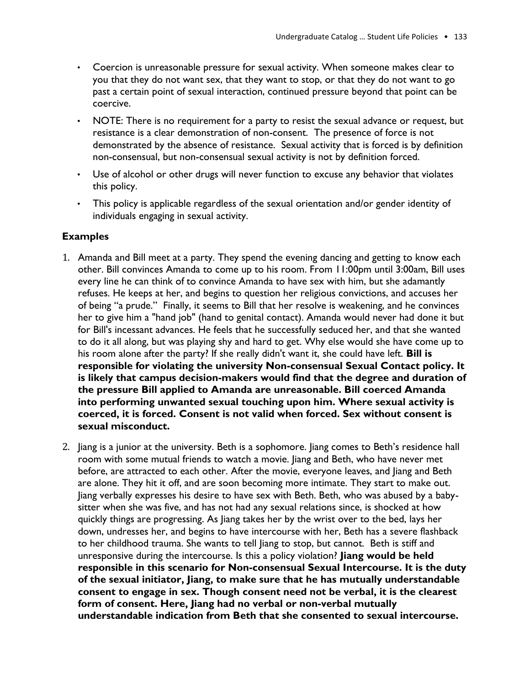- Coercion is unreasonable pressure for sexual activity. When someone makes clear to you that they do not want sex, that they want to stop, or that they do not want to go past a certain point of sexual interaction, continued pressure beyond that point can be coercive.
- NOTE: There is no requirement for a party to resist the sexual advance or request, but resistance is a clear demonstration of non-consent. The presence of force is not demonstrated by the absence of resistance. Sexual activity that is forced is by definition non-consensual, but non-consensual sexual activity is not by definition forced.
- Use of alcohol or other drugs will never function to excuse any behavior that violates this policy.
- This policy is applicable regardless of the sexual orientation and/or gender identity of individuals engaging in sexual activity.

#### **Examples**

- 1. Amanda and Bill meet at a party. They spend the evening dancing and getting to know each other. Bill convinces Amanda to come up to his room. From 11:00pm until 3:00am, Bill uses every line he can think of to convince Amanda to have sex with him, but she adamantly refuses. He keeps at her, and begins to question her religious convictions, and accuses her of being "a prude." Finally, it seems to Bill that her resolve is weakening, and he convinces her to give him a "hand job" (hand to genital contact). Amanda would never had done it but for Bill's incessant advances. He feels that he successfully seduced her, and that she wanted to do it all along, but was playing shy and hard to get. Why else would she have come up to his room alone after the party? If she really didn't want it, she could have left. **Bill is responsible for violating the university Non-consensual Sexual Contact policy. It is likely that campus decision-makers would find that the degree and duration of the pressure Bill applied to Amanda are unreasonable. Bill coerced Amanda into performing unwanted sexual touching upon him. Where sexual activity is coerced, it is forced. Consent is not valid when forced. Sex without consent is sexual misconduct.**
- 2. Jiang is a junior at the university. Beth is a sophomore. Jiang comes to Beth's residence hall room with some mutual friends to watch a movie. Jiang and Beth, who have never met before, are attracted to each other. After the movie, everyone leaves, and Jiang and Beth are alone. They hit it off, and are soon becoming more intimate. They start to make out. Jiang verbally expresses his desire to have sex with Beth. Beth, who was abused by a babysitter when she was five, and has not had any sexual relations since, is shocked at how quickly things are progressing. As Jiang takes her by the wrist over to the bed, lays her down, undresses her, and begins to have intercourse with her, Beth has a severe flashback to her childhood trauma. She wants to tell Jiang to stop, but cannot. Beth is stiff and unresponsive during the intercourse. Is this a policy violation? **Jiang would be held responsible in this scenario for Non-consensual Sexual Intercourse. It is the duty of the sexual initiator, Jiang, to make sure that he has mutually understandable consent to engage in sex. Though consent need not be verbal, it is the clearest form of consent. Here, Jiang had no verbal or non-verbal mutually understandable indication from Beth that she consented to sexual intercourse.**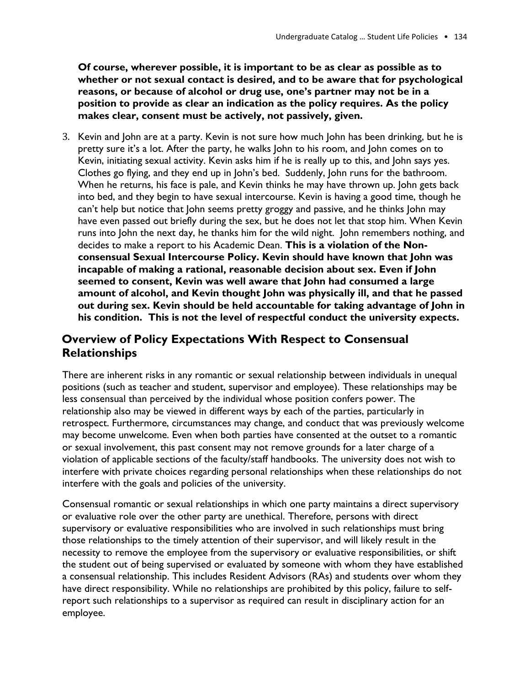**Of course, wherever possible, it is important to be as clear as possible as to whether or not sexual contact is desired, and to be aware that for psychological reasons, or because of alcohol or drug use, one's partner may not be in a position to provide as clear an indication as the policy requires. As the policy makes clear, consent must be actively, not passively, given.**

3. Kevin and John are at a party. Kevin is not sure how much John has been drinking, but he is pretty sure it's a lot. After the party, he walks John to his room, and John comes on to Kevin, initiating sexual activity. Kevin asks him if he is really up to this, and John says yes. Clothes go flying, and they end up in John's bed. Suddenly, John runs for the bathroom. When he returns, his face is pale, and Kevin thinks he may have thrown up. John gets back into bed, and they begin to have sexual intercourse. Kevin is having a good time, though he can't help but notice that John seems pretty groggy and passive, and he thinks John may have even passed out briefly during the sex, but he does not let that stop him. When Kevin runs into John the next day, he thanks him for the wild night. John remembers nothing, and decides to make a report to his Academic Dean. **This is a violation of the Nonconsensual Sexual Intercourse Policy. Kevin should have known that John was incapable of making a rational, reasonable decision about sex. Even if John seemed to consent, Kevin was well aware that John had consumed a large amount of alcohol, and Kevin thought John was physically ill, and that he passed out during sex. Kevin should be held accountable for taking advantage of John in his condition. This is not the level of respectful conduct the university expects.**

# **Overview of Policy Expectations With Respect to Consensual Relationships**

There are inherent risks in any romantic or sexual relationship between individuals in unequal positions (such as teacher and student, supervisor and employee). These relationships may be less consensual than perceived by the individual whose position confers power. The relationship also may be viewed in different ways by each of the parties, particularly in retrospect. Furthermore, circumstances may change, and conduct that was previously welcome may become unwelcome. Even when both parties have consented at the outset to a romantic or sexual involvement, this past consent may not remove grounds for a later charge of a violation of applicable sections of the faculty/staff handbooks. The university does not wish to interfere with private choices regarding personal relationships when these relationships do not interfere with the goals and policies of the university.

Consensual romantic or sexual relationships in which one party maintains a direct supervisory or evaluative role over the other party are unethical. Therefore, persons with direct supervisory or evaluative responsibilities who are involved in such relationships must bring those relationships to the timely attention of their supervisor, and will likely result in the necessity to remove the employee from the supervisory or evaluative responsibilities, or shift the student out of being supervised or evaluated by someone with whom they have established a consensual relationship. This includes Resident Advisors (RAs) and students over whom they have direct responsibility. While no relationships are prohibited by this policy, failure to selfreport such relationships to a supervisor as required can result in disciplinary action for an employee.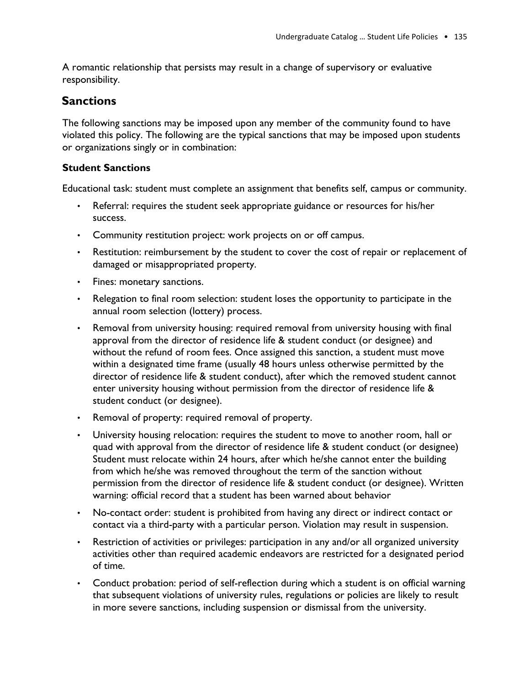A romantic relationship that persists may result in a change of supervisory or evaluative responsibility.

# **Sanctions**

The following sanctions may be imposed upon any member of the community found to have violated this policy. The following are the typical sanctions that may be imposed upon students or organizations singly or in combination:

#### **Student Sanctions**

Educational task: student must complete an assignment that benefits self, campus or community.

- Referral: requires the student seek appropriate guidance or resources for his/her success.
- Community restitution project: work projects on or off campus.
- Restitution: reimbursement by the student to cover the cost of repair or replacement of damaged or misappropriated property.
- Fines: monetary sanctions.
- Relegation to final room selection: student loses the opportunity to participate in the annual room selection (lottery) process.
- Removal from university housing: required removal from university housing with final approval from the director of residence life & student conduct (or designee) and without the refund of room fees. Once assigned this sanction, a student must move within a designated time frame (usually 48 hours unless otherwise permitted by the director of residence life & student conduct), after which the removed student cannot enter university housing without permission from the director of residence life & student conduct (or designee).
- Removal of property: required removal of property.
- University housing relocation: requires the student to move to another room, hall or quad with approval from the director of residence life & student conduct (or designee) Student must relocate within 24 hours, after which he/she cannot enter the building from which he/she was removed throughout the term of the sanction without permission from the director of residence life & student conduct (or designee). Written warning: official record that a student has been warned about behavior
- No-contact order: student is prohibited from having any direct or indirect contact or contact via a third-party with a particular person. Violation may result in suspension.
- Restriction of activities or privileges: participation in any and/or all organized university activities other than required academic endeavors are restricted for a designated period of time.
- Conduct probation: period of self-reflection during which a student is on official warning that subsequent violations of university rules, regulations or policies are likely to result in more severe sanctions, including suspension or dismissal from the university.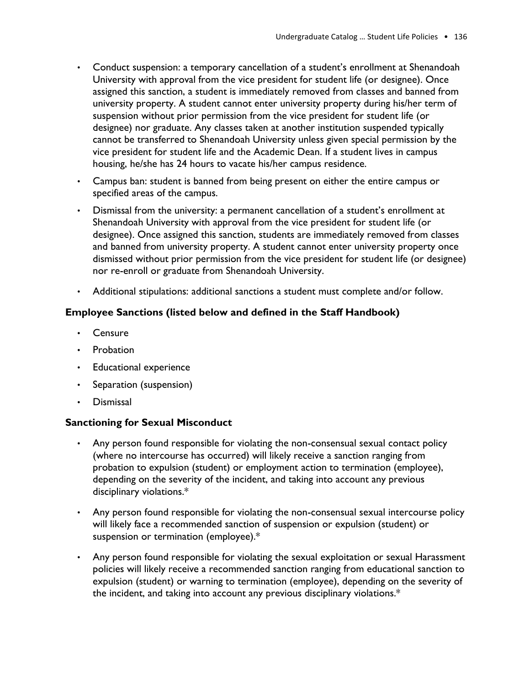- Conduct suspension: a temporary cancellation of a student's enrollment at Shenandoah University with approval from the vice president for student life (or designee). Once assigned this sanction, a student is immediately removed from classes and banned from university property. A student cannot enter university property during his/her term of suspension without prior permission from the vice president for student life (or designee) nor graduate. Any classes taken at another institution suspended typically cannot be transferred to Shenandoah University unless given special permission by the vice president for student life and the Academic Dean. If a student lives in campus housing, he/she has 24 hours to vacate his/her campus residence.
- Campus ban: student is banned from being present on either the entire campus or specified areas of the campus.
- Dismissal from the university: a permanent cancellation of a student's enrollment at Shenandoah University with approval from the vice president for student life (or designee). Once assigned this sanction, students are immediately removed from classes and banned from university property. A student cannot enter university property once dismissed without prior permission from the vice president for student life (or designee) nor re-enroll or graduate from Shenandoah University.
- Additional stipulations: additional sanctions a student must complete and/or follow.

#### **Employee Sanctions (listed below and defined in the Staff Handbook)**

- **Censure**
- **Probation**
- Educational experience
- Separation (suspension)
- Dismissal

#### **Sanctioning for Sexual Misconduct**

- Any person found responsible for violating the non-consensual sexual contact policy (where no intercourse has occurred) will likely receive a sanction ranging from probation to expulsion (student) or employment action to termination (employee), depending on the severity of the incident, and taking into account any previous disciplinary violations.\*
- Any person found responsible for violating the non-consensual sexual intercourse policy will likely face a recommended sanction of suspension or expulsion (student) or suspension or termination (employee).\*
- Any person found responsible for violating the sexual exploitation or sexual Harassment policies will likely receive a recommended sanction ranging from educational sanction to expulsion (student) or warning to termination (employee), depending on the severity of the incident, and taking into account any previous disciplinary violations.\*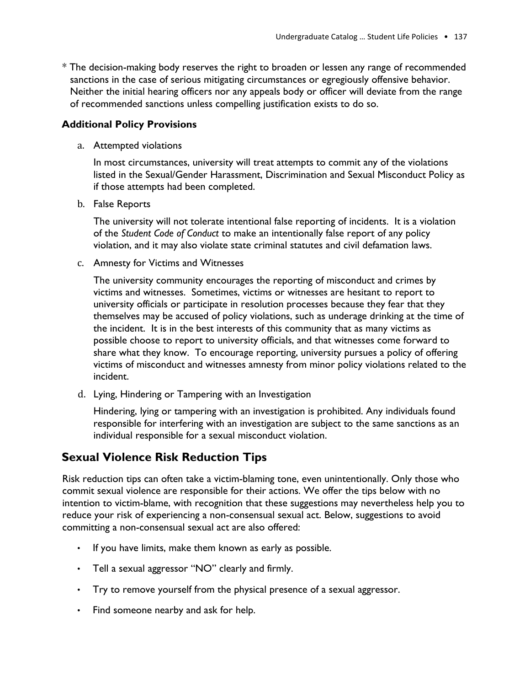\* The decision-making body reserves the right to broaden or lessen any range of recommended sanctions in the case of serious mitigating circumstances or egregiously offensive behavior. Neither the initial hearing officers nor any appeals body or officer will deviate from the range of recommended sanctions unless compelling justification exists to do so.

#### **Additional Policy Provisions**

a. Attempted violations

In most circumstances, university will treat attempts to commit any of the violations listed in the Sexual/Gender Harassment, Discrimination and Sexual Misconduct Policy as if those attempts had been completed.

b. False Reports

The university will not tolerate intentional false reporting of incidents. It is a violation of the *Student Code of Conduct* to make an intentionally false report of any policy violation, and it may also violate state criminal statutes and civil defamation laws.

c. Amnesty for Victims and Witnesses

The university community encourages the reporting of misconduct and crimes by victims and witnesses. Sometimes, victims or witnesses are hesitant to report to university officials or participate in resolution processes because they fear that they themselves may be accused of policy violations, such as underage drinking at the time of the incident. It is in the best interests of this community that as many victims as possible choose to report to university officials, and that witnesses come forward to share what they know. To encourage reporting, university pursues a policy of offering victims of misconduct and witnesses amnesty from minor policy violations related to the incident.

d. Lying, Hindering or Tampering with an Investigation

Hindering, lying or tampering with an investigation is prohibited. Any individuals found responsible for interfering with an investigation are subject to the same sanctions as an individual responsible for a sexual misconduct violation.

## **Sexual Violence Risk Reduction Tips**

Risk reduction tips can often take a victim-blaming tone, even unintentionally. Only those who commit sexual violence are responsible for their actions. We offer the tips below with no intention to victim-blame, with recognition that these suggestions may nevertheless help you to reduce your risk of experiencing a non-consensual sexual act. Below, suggestions to avoid committing a non-consensual sexual act are also offered:

- If you have limits, make them known as early as possible.
- Tell a sexual aggressor "NO" clearly and firmly.
- Try to remove yourself from the physical presence of a sexual aggressor.
- Find someone nearby and ask for help.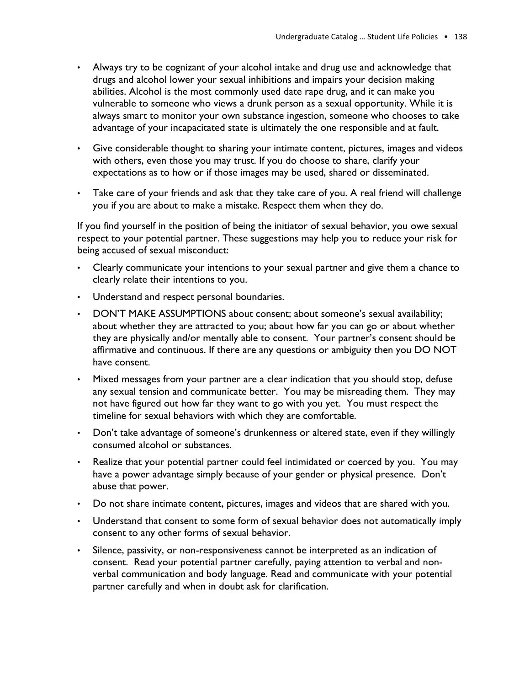- Always try to be cognizant of your alcohol intake and drug use and acknowledge that drugs and alcohol lower your sexual inhibitions and impairs your decision making abilities. Alcohol is the most commonly used date rape drug, and it can make you vulnerable to someone who views a drunk person as a sexual opportunity. While it is always smart to monitor your own substance ingestion, someone who chooses to take advantage of your incapacitated state is ultimately the one responsible and at fault.
- Give considerable thought to sharing your intimate content, pictures, images and videos with others, even those you may trust. If you do choose to share, clarify your expectations as to how or if those images may be used, shared or disseminated.
- Take care of your friends and ask that they take care of you. A real friend will challenge you if you are about to make a mistake. Respect them when they do.

If you find yourself in the position of being the initiator of sexual behavior, you owe sexual respect to your potential partner. These suggestions may help you to reduce your risk for being accused of sexual misconduct:

- Clearly communicate your intentions to your sexual partner and give them a chance to clearly relate their intentions to you.
- Understand and respect personal boundaries.
- DON'T MAKE ASSUMPTIONS about consent; about someone's sexual availability; about whether they are attracted to you; about how far you can go or about whether they are physically and/or mentally able to consent. Your partner's consent should be affirmative and continuous. If there are any questions or ambiguity then you DO NOT have consent.
- Mixed messages from your partner are a clear indication that you should stop, defuse any sexual tension and communicate better. You may be misreading them. They may not have figured out how far they want to go with you yet. You must respect the timeline for sexual behaviors with which they are comfortable.
- Don't take advantage of someone's drunkenness or altered state, even if they willingly consumed alcohol or substances.
- Realize that your potential partner could feel intimidated or coerced by you. You may have a power advantage simply because of your gender or physical presence. Don't abuse that power.
- Do not share intimate content, pictures, images and videos that are shared with you.
- Understand that consent to some form of sexual behavior does not automatically imply consent to any other forms of sexual behavior.
- Silence, passivity, or non-responsiveness cannot be interpreted as an indication of consent. Read your potential partner carefully, paying attention to verbal and nonverbal communication and body language. Read and communicate with your potential partner carefully and when in doubt ask for clarification.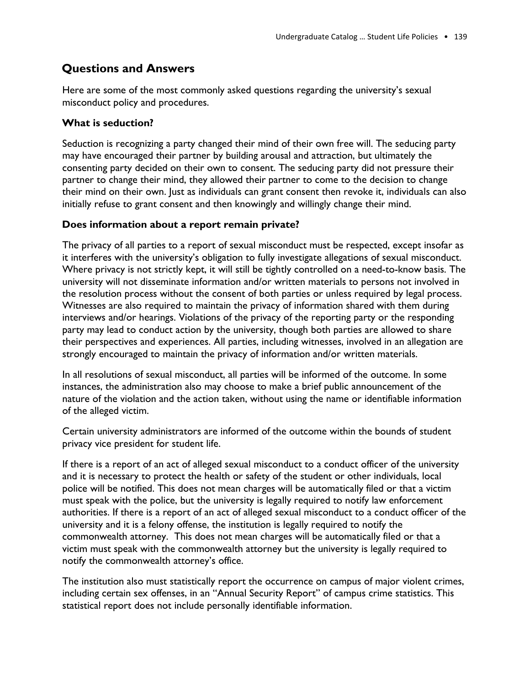# **Questions and Answers**

Here are some of the most commonly asked questions regarding the university's sexual misconduct policy and procedures.

#### **What is seduction?**

Seduction is recognizing a party changed their mind of their own free will. The seducing party may have encouraged their partner by building arousal and attraction, but ultimately the consenting party decided on their own to consent. The seducing party did not pressure their partner to change their mind, they allowed their partner to come to the decision to change their mind on their own. Just as individuals can grant consent then revoke it, individuals can also initially refuse to grant consent and then knowingly and willingly change their mind.

#### **Does information about a report remain private?**

The privacy of all parties to a report of sexual misconduct must be respected, except insofar as it interferes with the university's obligation to fully investigate allegations of sexual misconduct. Where privacy is not strictly kept, it will still be tightly controlled on a need-to-know basis. The university will not disseminate information and/or written materials to persons not involved in the resolution process without the consent of both parties or unless required by legal process. Witnesses are also required to maintain the privacy of information shared with them during interviews and/or hearings. Violations of the privacy of the reporting party or the responding party may lead to conduct action by the university, though both parties are allowed to share their perspectives and experiences. All parties, including witnesses, involved in an allegation are strongly encouraged to maintain the privacy of information and/or written materials.

In all resolutions of sexual misconduct, all parties will be informed of the outcome. In some instances, the administration also may choose to make a brief public announcement of the nature of the violation and the action taken, without using the name or identifiable information of the alleged victim.

Certain university administrators are informed of the outcome within the bounds of student privacy vice president for student life.

If there is a report of an act of alleged sexual misconduct to a conduct officer of the university and it is necessary to protect the health or safety of the student or other individuals, local police will be notified. This does not mean charges will be automatically filed or that a victim must speak with the police, but the university is legally required to notify law enforcement authorities. If there is a report of an act of alleged sexual misconduct to a conduct officer of the university and it is a felony offense, the institution is legally required to notify the commonwealth attorney. This does not mean charges will be automatically filed or that a victim must speak with the commonwealth attorney but the university is legally required to notify the commonwealth attorney's office.

The institution also must statistically report the occurrence on campus of major violent crimes, including certain sex offenses, in an "Annual Security Report" of campus crime statistics. This statistical report does not include personally identifiable information.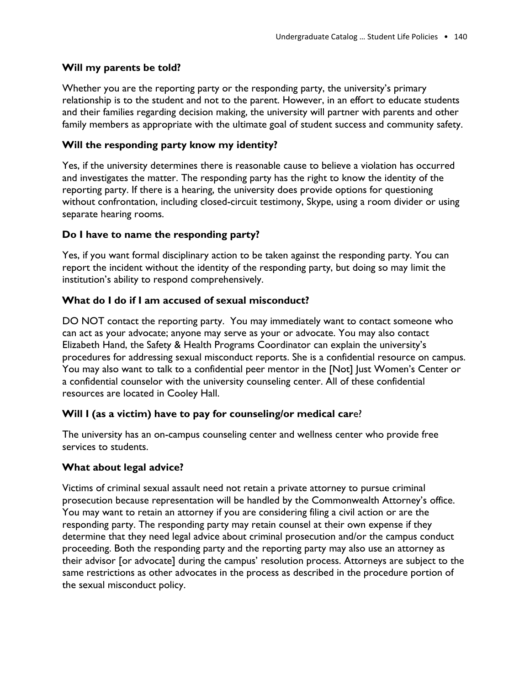#### **Will my parents be told?**

Whether you are the reporting party or the responding party, the university's primary relationship is to the student and not to the parent. However, in an effort to educate students and their families regarding decision making, the university will partner with parents and other family members as appropriate with the ultimate goal of student success and community safety.

#### **Will the responding party know my identity?**

Yes, if the university determines there is reasonable cause to believe a violation has occurred and investigates the matter. The responding party has the right to know the identity of the reporting party. If there is a hearing, the university does provide options for questioning without confrontation, including closed-circuit testimony, Skype, using a room divider or using separate hearing rooms.

#### **Do I have to name the responding party?**

Yes, if you want formal disciplinary action to be taken against the responding party. You can report the incident without the identity of the responding party, but doing so may limit the institution's ability to respond comprehensively.

#### **What do I do if I am accused of sexual misconduct?**

DO NOT contact the reporting party. You may immediately want to contact someone who can act as your advocate; anyone may serve as your or advocate. You may also contact Elizabeth Hand, the Safety & Health Programs Coordinator can explain the university's procedures for addressing sexual misconduct reports. She is a confidential resource on campus. You may also want to talk to a confidential peer mentor in the [Not] Just Women's Center or a confidential counselor with the university counseling center. All of these confidential resources are located in Cooley Hall.

#### **Will I (as a victim) have to pay for counseling/or medical car**e?

The university has an on-campus counseling center and wellness center who provide free services to students.

#### **What about legal advice?**

Victims of criminal sexual assault need not retain a private attorney to pursue criminal prosecution because representation will be handled by the Commonwealth Attorney's office. You may want to retain an attorney if you are considering filing a civil action or are the responding party. The responding party may retain counsel at their own expense if they determine that they need legal advice about criminal prosecution and/or the campus conduct proceeding. Both the responding party and the reporting party may also use an attorney as their advisor [or advocate] during the campus' resolution process. Attorneys are subject to the same restrictions as other advocates in the process as described in the procedure portion of the sexual misconduct policy.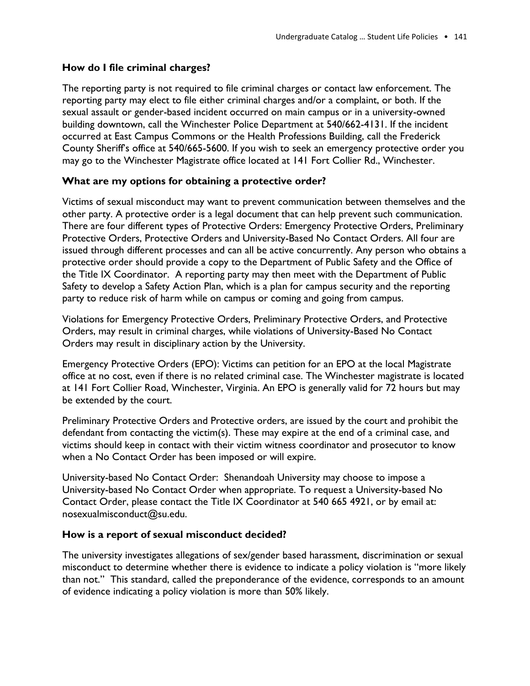#### **How do I file criminal charges?**

The reporting party is not required to file criminal charges or contact law enforcement. The reporting party may elect to file either criminal charges and/or a complaint, or both. If the sexual assault or gender-based incident occurred on main campus or in a university-owned building downtown, call the Winchester Police Department at 540/662-4131. If the incident occurred at East Campus Commons or the Health Professions Building, call the Frederick County Sheriff's office at 540/665-5600. If you wish to seek an emergency protective order you may go to the Winchester Magistrate office located at 141 Fort Collier Rd., Winchester.

#### **What are my options for obtaining a protective order?**

Victims of sexual misconduct may want to prevent communication between themselves and the other party. A protective order is a legal document that can help prevent such communication. There are four different types of Protective Orders: Emergency Protective Orders, Preliminary Protective Orders, Protective Orders and University-Based No Contact Orders. All four are issued through different processes and can all be active concurrently. Any person who obtains a protective order should provide a copy to the Department of Public Safety and the Office of the Title IX Coordinator. A reporting party may then meet with the Department of Public Safety to develop a Safety Action Plan, which is a plan for campus security and the reporting party to reduce risk of harm while on campus or coming and going from campus.

Violations for Emergency Protective Orders, Preliminary Protective Orders, and Protective Orders, may result in criminal charges, while violations of University-Based No Contact Orders may result in disciplinary action by the University.

Emergency Protective Orders (EPO): Victims can petition for an EPO at the local Magistrate office at no cost, even if there is no related criminal case. The Winchester magistrate is located at 141 Fort Collier Road, Winchester, Virginia. An EPO is generally valid for 72 hours but may be extended by the court.

Preliminary Protective Orders and Protective orders, are issued by the court and prohibit the defendant from contacting the victim(s). These may expire at the end of a criminal case, and victims should keep in contact with their victim witness coordinator and prosecutor to know when a No Contact Order has been imposed or will expire.

University-based No Contact Order: Shenandoah University may choose to impose a University-based No Contact Order when appropriate. To request a University-based No Contact Order, please contact the Title IX Coordinator at 540 665 4921, or by email at: nosexualmisconduct@su.edu.

#### **How is a report of sexual misconduct decided?**

The university investigates allegations of sex/gender based harassment, discrimination or sexual misconduct to determine whether there is evidence to indicate a policy violation is "more likely than not." This standard, called the preponderance of the evidence, corresponds to an amount of evidence indicating a policy violation is more than 50% likely.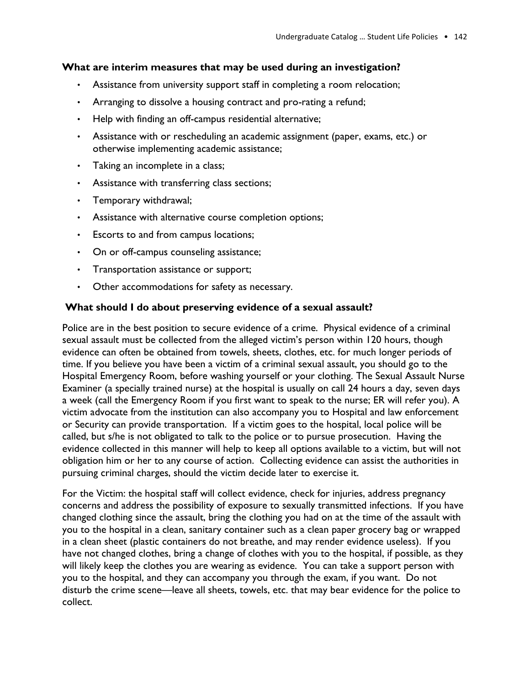#### **What are interim measures that may be used during an investigation?**

- Assistance from university support staff in completing a room relocation;
- Arranging to dissolve a housing contract and pro-rating a refund;
- Help with finding an off-campus residential alternative;
- Assistance with or rescheduling an academic assignment (paper, exams, etc.) or otherwise implementing academic assistance;
- Taking an incomplete in a class;
- Assistance with transferring class sections;
- Temporary withdrawal;
- Assistance with alternative course completion options;
- Escorts to and from campus locations;
- On or off-campus counseling assistance;
- Transportation assistance or support;
- Other accommodations for safety as necessary.

#### **What should I do about preserving evidence of a sexual assault?**

Police are in the best position to secure evidence of a crime. Physical evidence of a criminal sexual assault must be collected from the alleged victim's person within 120 hours, though evidence can often be obtained from towels, sheets, clothes, etc. for much longer periods of time. If you believe you have been a victim of a criminal sexual assault, you should go to the Hospital Emergency Room, before washing yourself or your clothing. The Sexual Assault Nurse Examiner (a specially trained nurse) at the hospital is usually on call 24 hours a day, seven days a week (call the Emergency Room if you first want to speak to the nurse; ER will refer you). A victim advocate from the institution can also accompany you to Hospital and law enforcement or Security can provide transportation. If a victim goes to the hospital, local police will be called, but s/he is not obligated to talk to the police or to pursue prosecution. Having the evidence collected in this manner will help to keep all options available to a victim, but will not obligation him or her to any course of action. Collecting evidence can assist the authorities in pursuing criminal charges, should the victim decide later to exercise it.

For the Victim: the hospital staff will collect evidence, check for injuries, address pregnancy concerns and address the possibility of exposure to sexually transmitted infections. If you have changed clothing since the assault, bring the clothing you had on at the time of the assault with you to the hospital in a clean, sanitary container such as a clean paper grocery bag or wrapped in a clean sheet (plastic containers do not breathe, and may render evidence useless). If you have not changed clothes, bring a change of clothes with you to the hospital, if possible, as they will likely keep the clothes you are wearing as evidence. You can take a support person with you to the hospital, and they can accompany you through the exam, if you want. Do not disturb the crime scene—leave all sheets, towels, etc. that may bear evidence for the police to collect.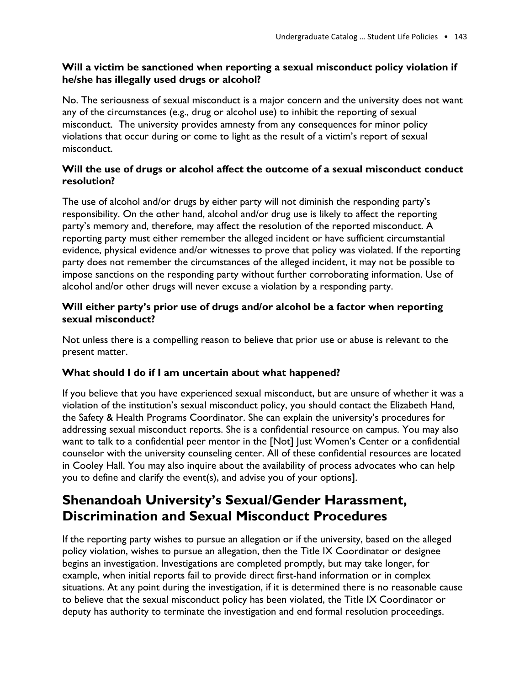#### **Will a victim be sanctioned when reporting a sexual misconduct policy violation if he/she has illegally used drugs or alcohol?**

No. The seriousness of sexual misconduct is a major concern and the university does not want any of the circumstances (e.g., drug or alcohol use) to inhibit the reporting of sexual misconduct. The university provides amnesty from any consequences for minor policy violations that occur during or come to light as the result of a victim's report of sexual misconduct.

#### **Will the use of drugs or alcohol affect the outcome of a sexual misconduct conduct resolution?**

The use of alcohol and/or drugs by either party will not diminish the responding party's responsibility. On the other hand, alcohol and/or drug use is likely to affect the reporting party's memory and, therefore, may affect the resolution of the reported misconduct. A reporting party must either remember the alleged incident or have sufficient circumstantial evidence, physical evidence and/or witnesses to prove that policy was violated. If the reporting party does not remember the circumstances of the alleged incident, it may not be possible to impose sanctions on the responding party without further corroborating information. Use of alcohol and/or other drugs will never excuse a violation by a responding party.

#### **Will either party's prior use of drugs and/or alcohol be a factor when reporting sexual misconduct?**

Not unless there is a compelling reason to believe that prior use or abuse is relevant to the present matter.

#### **What should I do if I am uncertain about what happened?**

If you believe that you have experienced sexual misconduct, but are unsure of whether it was a violation of the institution's sexual misconduct policy, you should contact the Elizabeth Hand, the Safety & Health Programs Coordinator. She can explain the university's procedures for addressing sexual misconduct reports. She is a confidential resource on campus. You may also want to talk to a confidential peer mentor in the [Not] Just Women's Center or a confidential counselor with the university counseling center. All of these confidential resources are located in Cooley Hall. You may also inquire about the availability of process advocates who can help you to define and clarify the event(s), and advise you of your options].

# **Shenandoah University's Sexual/Gender Harassment, Discrimination and Sexual Misconduct Procedures**

If the reporting party wishes to pursue an allegation or if the university, based on the alleged policy violation, wishes to pursue an allegation, then the Title IX Coordinator or designee begins an investigation. Investigations are completed promptly, but may take longer, for example, when initial reports fail to provide direct first-hand information or in complex situations. At any point during the investigation, if it is determined there is no reasonable cause to believe that the sexual misconduct policy has been violated, the Title IX Coordinator or deputy has authority to terminate the investigation and end formal resolution proceedings.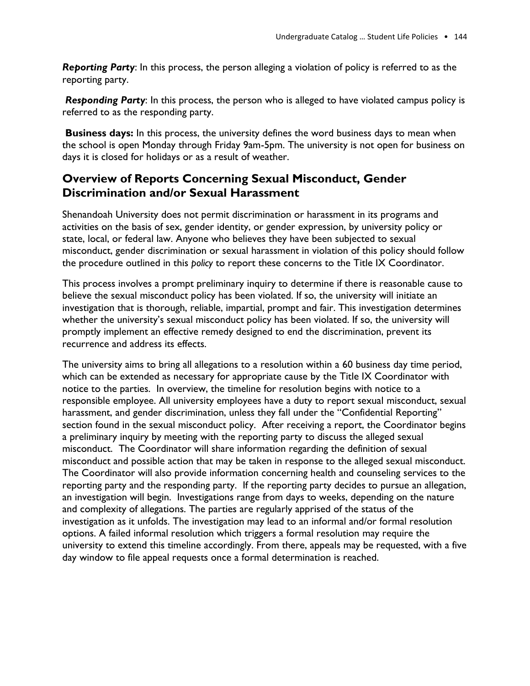*Reporting Party*: In this process, the person alleging a violation of policy is referred to as the reporting party.

*Responding Party*: In this process, the person who is alleged to have violated campus policy is referred to as the responding party.

**Business days:** In this process, the university defines the word business days to mean when the school is open Monday through Friday 9am-5pm. The university is not open for business on days it is closed for holidays or as a result of weather.

# **Overview of Reports Concerning Sexual Misconduct, Gender Discrimination and/or Sexual Harassment**

Shenandoah University does not permit discrimination or harassment in its programs and activities on the basis of sex, gender identity, or gender expression, by university policy or state, local, or federal law. Anyone who believes they have been subjected to sexual misconduct, gender discrimination or sexual harassment in violation of this policy should follow the procedure outlined in this *policy* to report these concerns to the Title IX Coordinator.

This process involves a prompt preliminary inquiry to determine if there is reasonable cause to believe the sexual misconduct policy has been violated. If so, the university will initiate an investigation that is thorough, reliable, impartial, prompt and fair. This investigation determines whether the university's sexual misconduct policy has been violated. If so, the university will promptly implement an effective remedy designed to end the discrimination, prevent its recurrence and address its effects.

The university aims to bring all allegations to a resolution within a 60 business day time period, which can be extended as necessary for appropriate cause by the Title IX Coordinator with notice to the parties. In overview, the timeline for resolution begins with notice to a responsible employee. All university employees have a duty to report sexual misconduct, sexual harassment, and gender discrimination, unless they fall under the "Confidential Reporting" section found in the sexual misconduct policy. After receiving a report, the Coordinator begins a preliminary inquiry by meeting with the reporting party to discuss the alleged sexual misconduct. The Coordinator will share information regarding the definition of sexual misconduct and possible action that may be taken in response to the alleged sexual misconduct. The Coordinator will also provide information concerning health and counseling services to the reporting party and the responding party. If the reporting party decides to pursue an allegation, an investigation will begin. Investigations range from days to weeks, depending on the nature and complexity of allegations. The parties are regularly apprised of the status of the investigation as it unfolds. The investigation may lead to an informal and/or formal resolution options. A failed informal resolution which triggers a formal resolution may require the university to extend this timeline accordingly. From there, appeals may be requested, with a five day window to file appeal requests once a formal determination is reached.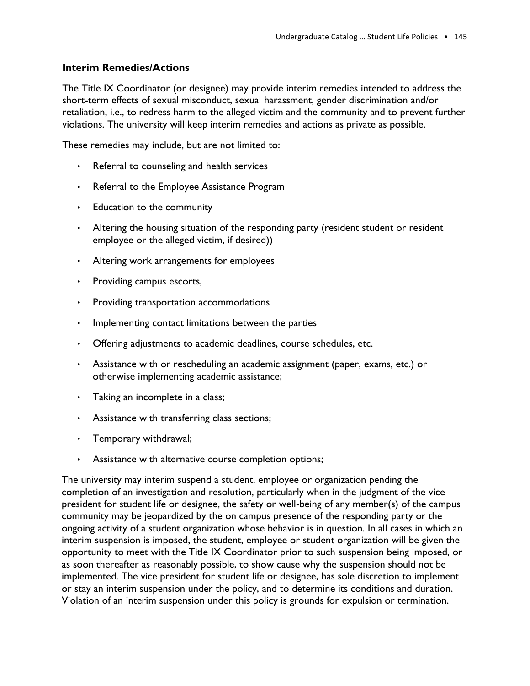#### **Interim Remedies/Actions**

The Title IX Coordinator (or designee) may provide interim remedies intended to address the short-term effects of sexual misconduct, sexual harassment, gender discrimination and/or retaliation, i.e., to redress harm to the alleged victim and the community and to prevent further violations. The university will keep interim remedies and actions as private as possible.

These remedies may include, but are not limited to:

- Referral to counseling and health services
- Referral to the Employee Assistance Program
- Education to the community
- Altering the housing situation of the responding party (resident student or resident employee or the alleged victim, if desired))
- Altering work arrangements for employees
- Providing campus escorts,
- Providing transportation accommodations
- Implementing contact limitations between the parties
- Offering adjustments to academic deadlines, course schedules, etc.
- Assistance with or rescheduling an academic assignment (paper, exams, etc.) or otherwise implementing academic assistance;
- Taking an incomplete in a class;
- Assistance with transferring class sections;
- Temporary withdrawal;
- Assistance with alternative course completion options;

The university may interim suspend a student, employee or organization pending the completion of an investigation and resolution, particularly when in the judgment of the vice president for student life or designee, the safety or well-being of any member(s) of the campus community may be jeopardized by the on campus presence of the responding party or the ongoing activity of a student organization whose behavior is in question. In all cases in which an interim suspension is imposed, the student, employee or student organization will be given the opportunity to meet with the Title IX Coordinator prior to such suspension being imposed, or as soon thereafter as reasonably possible, to show cause why the suspension should not be implemented. The vice president for student life or designee, has sole discretion to implement or stay an interim suspension under the policy, and to determine its conditions and duration. Violation of an interim suspension under this policy is grounds for expulsion or termination.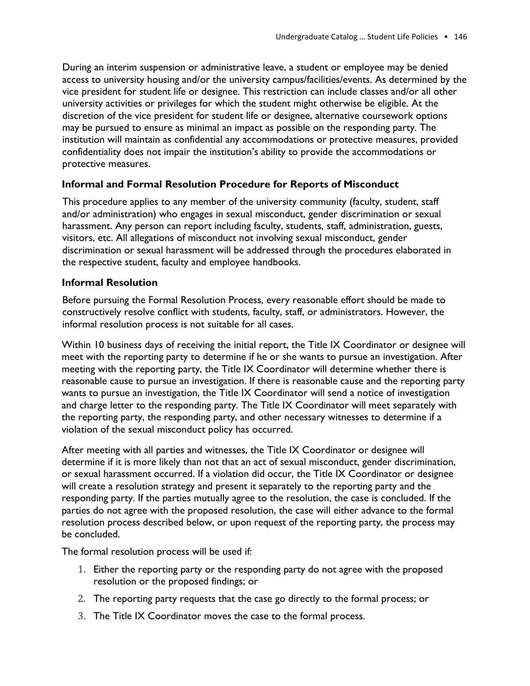During an interim suspension or administrative leave, a student or employee may be denied access to university housing and/or the university campus/facilities/events. As determined by the vice president for student life or designee. This restriction can include classes and/or all other university activities or privileges for which the student might otherwise be eligible. At the discretion of the vice president for student life or designee, alternative coursework options may be pursued to ensure as minimal an impact as possible on the responding party. The institution will maintain as confidential any accommodations or protective measures, provided confidentiality does not impair the institution's ability to provide the accommodations or protective measures.

#### **Informal and Formal Resolution Procedure for Reports of Misconduct**

This procedure applies to any member of the university community (faculty, student, staff and/or administration) who engages in sexual misconduct, gender discrimination or sexual harassment. Any person can report including faculty, students, staff, administration, guests, visitors, etc. All allegations of misconduct not involving sexual misconduct, gender discrimination or sexual harassment will be addressed through the procedures elaborated in the respective student, faculty and employee handbooks.

#### **Informal Resolution**

Before pursuing the Formal Resolution Process, every reasonable effort should be made to constructively resolve conflict with students, faculty, staff, or administrators. However, the informal resolution process is not suitable for all cases.

Within 10 business days of receiving the initial report, the Title IX Coordinator or designee will meet with the reporting party to determine if he or she wants to pursue an investigation. After meeting with the reporting party, the Title IX Coordinator will determine whether there is reasonable cause to pursue an investigation. If there is reasonable cause and the reporting party wants to pursue an investigation, the Title IX Coordinator will send a notice of investigation and charge letter to the responding party. The Title IX Coordinator will meet separately with the reporting party, the responding party, and other necessary witnesses to determine if a violation of the sexual misconduct policy has occurred.

After meeting with all parties and witnesses, the Title IX Coordinator or designee will determine if it is more likely than not that an act of sexual misconduct, gender discrimination, or sexual harassment occurred. If a violation did occur, the Title IX Coordinator or designee will create a resolution strategy and present it separately to the reporting party and the responding party. If the parties mutually agree to the resolution, the case is concluded. If the parties do not agree with the proposed resolution, the case will either advance to the formal resolution process described below, or upon request of the reporting party, the process may be concluded.

The formal resolution process will be used if:

- 1. Either the reporting party or the responding party do not agree with the proposed resolution or the proposed findings; or
- 2. The reporting party requests that the case go directly to the formal process; or
- 3. The Title IX Coordinator moves the case to the formal process.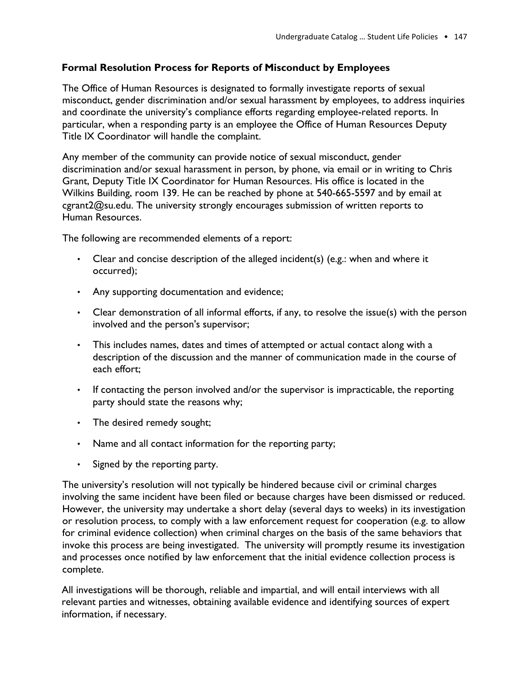#### **Formal Resolution Process for Reports of Misconduct by Employees**

The Office of Human Resources is designated to formally investigate reports of sexual misconduct, gender discrimination and/or sexual harassment by employees, to address inquiries and coordinate the university's compliance efforts regarding employee-related reports. In particular, when a responding party is an employee the Office of Human Resources Deputy Title IX Coordinator will handle the complaint.

Any member of the community can provide notice of sexual misconduct, gender discrimination and/or sexual harassment in person, by phone, via email or in writing to Chris Grant, Deputy Title IX Coordinator for Human Resources. His office is located in the Wilkins Building, room 139. He can be reached by phone at 540-665-5597 and by email at cgrant2@su.edu. The university strongly encourages submission of written reports to Human Resources.

The following are recommended elements of a report:

- Clear and concise description of the alleged incident(s) (e.g.: when and where it occurred);
- Any supporting documentation and evidence;
- Clear demonstration of all informal efforts, if any, to resolve the issue(s) with the person involved and the person's supervisor;
- This includes names, dates and times of attempted or actual contact along with a description of the discussion and the manner of communication made in the course of each effort;
- If contacting the person involved and/or the supervisor is impracticable, the reporting party should state the reasons why;
- The desired remedy sought;
- Name and all contact information for the reporting party;
- Signed by the reporting party.

The university's resolution will not typically be hindered because civil or criminal charges involving the same incident have been filed or because charges have been dismissed or reduced. However, the university may undertake a short delay (several days to weeks) in its investigation or resolution process, to comply with a law enforcement request for cooperation (e.g. to allow for criminal evidence collection) when criminal charges on the basis of the same behaviors that invoke this process are being investigated. The university will promptly resume its investigation and processes once notified by law enforcement that the initial evidence collection process is complete.

All investigations will be thorough, reliable and impartial, and will entail interviews with all relevant parties and witnesses, obtaining available evidence and identifying sources of expert information, if necessary.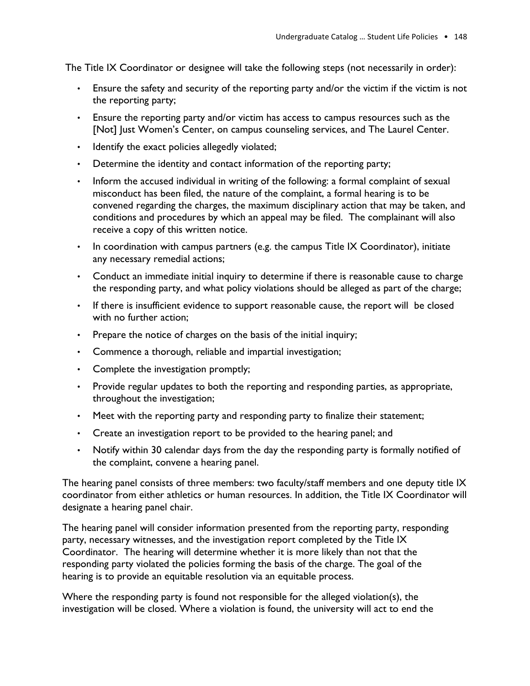The Title IX Coordinator or designee will take the following steps (not necessarily in order):

- Ensure the safety and security of the reporting party and/or the victim if the victim is not the reporting party;
- Ensure the reporting party and/or victim has access to campus resources such as the [Not] Just Women's Center, on campus counseling services, and The Laurel Center.
- Identify the exact policies allegedly violated;
- Determine the identity and contact information of the reporting party;
- Inform the accused individual in writing of the following: a formal complaint of sexual misconduct has been filed, the nature of the complaint, a formal hearing is to be convened regarding the charges, the maximum disciplinary action that may be taken, and conditions and procedures by which an appeal may be filed. The complainant will also receive a copy of this written notice.
- In coordination with campus partners (e.g. the campus Title IX Coordinator), initiate any necessary remedial actions;
- Conduct an immediate initial inquiry to determine if there is reasonable cause to charge the responding party, and what policy violations should be alleged as part of the charge;
- If there is insufficient evidence to support reasonable cause, the report will be closed with no further action;
- Prepare the notice of charges on the basis of the initial inquiry;
- Commence a thorough, reliable and impartial investigation;
- Complete the investigation promptly;
- Provide regular updates to both the reporting and responding parties, as appropriate, throughout the investigation;
- Meet with the reporting party and responding party to finalize their statement;
- Create an investigation report to be provided to the hearing panel; and
- Notify within 30 calendar days from the day the responding party is formally notified of the complaint, convene a hearing panel.

The hearing panel consists of three members: two faculty/staff members and one deputy title IX coordinator from either athletics or human resources. In addition, the Title IX Coordinator will designate a hearing panel chair.

The hearing panel will consider information presented from the reporting party, responding party, necessary witnesses, and the investigation report completed by the Title IX Coordinator. The hearing will determine whether it is more likely than not that the responding party violated the policies forming the basis of the charge. The goal of the hearing is to provide an equitable resolution via an equitable process.

Where the responding party is found not responsible for the alleged violation(s), the investigation will be closed. Where a violation is found, the university will act to end the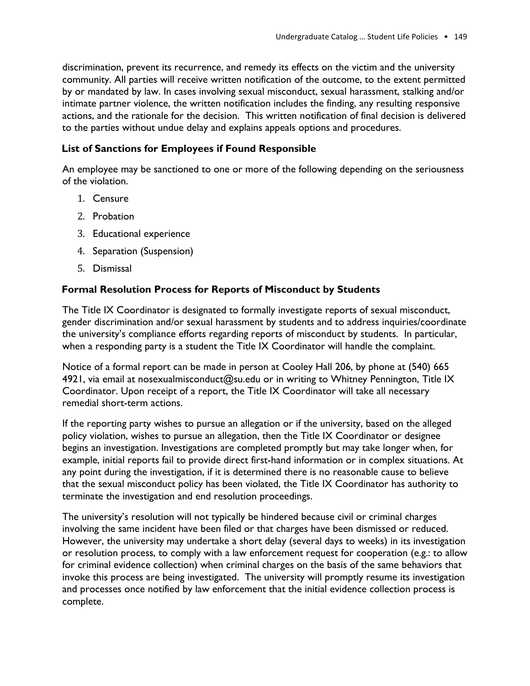discrimination, prevent its recurrence, and remedy its effects on the victim and the university community. All parties will receive written notification of the outcome, to the extent permitted by or mandated by law. In cases involving sexual misconduct, sexual harassment, stalking and/or intimate partner violence, the written notification includes the finding, any resulting responsive actions, and the rationale for the decision. This written notification of final decision is delivered to the parties without undue delay and explains appeals options and procedures.

#### **List of Sanctions for Employees if Found Responsible**

An employee may be sanctioned to one or more of the following depending on the seriousness of the violation.

- 1. Censure
- 2. Probation
- 3. Educational experience
- 4. Separation (Suspension)
- 5. Dismissal

#### **Formal Resolution Process for Reports of Misconduct by Students**

The Title IX Coordinator is designated to formally investigate reports of sexual misconduct, gender discrimination and/or sexual harassment by students and to address inquiries/coordinate the university's compliance efforts regarding reports of misconduct by students. In particular, when a responding party is a student the Title IX Coordinator will handle the complaint.

Notice of a formal report can be made in person at Cooley Hall 206, by phone at (540) 665 4921, via email at nosexualmisconduct@su.edu or in writing to Whitney Pennington, Title IX Coordinator. Upon receipt of a report, the Title IX Coordinator will take all necessary remedial short-term actions.

If the reporting party wishes to pursue an allegation or if the university, based on the alleged policy violation, wishes to pursue an allegation, then the Title IX Coordinator or designee begins an investigation. Investigations are completed promptly but may take longer when, for example, initial reports fail to provide direct first-hand information or in complex situations. At any point during the investigation, if it is determined there is no reasonable cause to believe that the sexual misconduct policy has been violated, the Title IX Coordinator has authority to terminate the investigation and end resolution proceedings.

The university's resolution will not typically be hindered because civil or criminal charges involving the same incident have been filed or that charges have been dismissed or reduced. However, the university may undertake a short delay (several days to weeks) in its investigation or resolution process, to comply with a law enforcement request for cooperation (e.g.: to allow for criminal evidence collection) when criminal charges on the basis of the same behaviors that invoke this process are being investigated. The university will promptly resume its investigation and processes once notified by law enforcement that the initial evidence collection process is complete.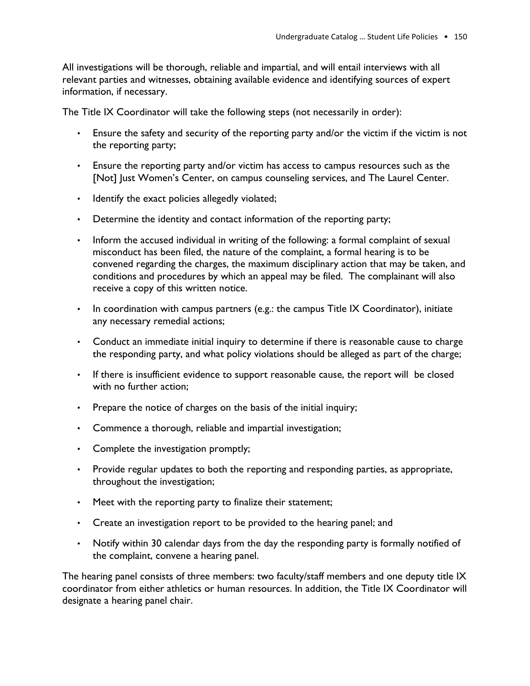All investigations will be thorough, reliable and impartial, and will entail interviews with all relevant parties and witnesses, obtaining available evidence and identifying sources of expert information, if necessary.

The Title IX Coordinator will take the following steps (not necessarily in order):

- Ensure the safety and security of the reporting party and/or the victim if the victim is not the reporting party;
- Ensure the reporting party and/or victim has access to campus resources such as the [Not] Just Women's Center, on campus counseling services, and The Laurel Center.
- Identify the exact policies allegedly violated;
- Determine the identity and contact information of the reporting party;
- Inform the accused individual in writing of the following: a formal complaint of sexual misconduct has been filed, the nature of the complaint, a formal hearing is to be convened regarding the charges, the maximum disciplinary action that may be taken, and conditions and procedures by which an appeal may be filed. The complainant will also receive a copy of this written notice.
- In coordination with campus partners (e.g.: the campus Title IX Coordinator), initiate any necessary remedial actions;
- Conduct an immediate initial inquiry to determine if there is reasonable cause to charge the responding party, and what policy violations should be alleged as part of the charge;
- If there is insufficient evidence to support reasonable cause, the report will be closed with no further action;
- Prepare the notice of charges on the basis of the initial inquiry;
- Commence a thorough, reliable and impartial investigation;
- Complete the investigation promptly;
- Provide regular updates to both the reporting and responding parties, as appropriate, throughout the investigation;
- Meet with the reporting party to finalize their statement;
- Create an investigation report to be provided to the hearing panel; and
- Notify within 30 calendar days from the day the responding party is formally notified of the complaint, convene a hearing panel.

The hearing panel consists of three members: two faculty/staff members and one deputy title IX coordinator from either athletics or human resources. In addition, the Title IX Coordinator will designate a hearing panel chair.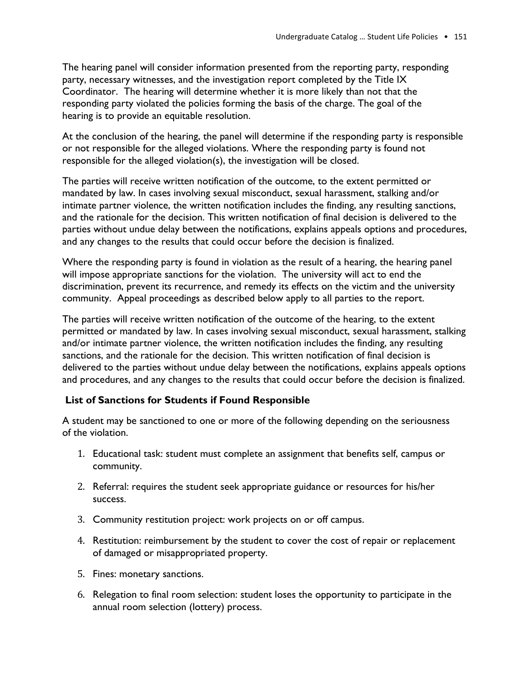The hearing panel will consider information presented from the reporting party, responding party, necessary witnesses, and the investigation report completed by the Title IX Coordinator. The hearing will determine whether it is more likely than not that the responding party violated the policies forming the basis of the charge. The goal of the hearing is to provide an equitable resolution.

At the conclusion of the hearing, the panel will determine if the responding party is responsible or not responsible for the alleged violations. Where the responding party is found not responsible for the alleged violation(s), the investigation will be closed.

The parties will receive written notification of the outcome, to the extent permitted or mandated by law. In cases involving sexual misconduct, sexual harassment, stalking and/or intimate partner violence, the written notification includes the finding, any resulting sanctions, and the rationale for the decision. This written notification of final decision is delivered to the parties without undue delay between the notifications, explains appeals options and procedures, and any changes to the results that could occur before the decision is finalized.

Where the responding party is found in violation as the result of a hearing, the hearing panel will impose appropriate sanctions for the violation. The university will act to end the discrimination, prevent its recurrence, and remedy its effects on the victim and the university community. Appeal proceedings as described below apply to all parties to the report.

The parties will receive written notification of the outcome of the hearing, to the extent permitted or mandated by law. In cases involving sexual misconduct, sexual harassment, stalking and/or intimate partner violence, the written notification includes the finding, any resulting sanctions, and the rationale for the decision. This written notification of final decision is delivered to the parties without undue delay between the notifications, explains appeals options and procedures, and any changes to the results that could occur before the decision is finalized.

#### **List of Sanctions for Students if Found Responsible**

A student may be sanctioned to one or more of the following depending on the seriousness of the violation.

- 1. Educational task: student must complete an assignment that benefits self, campus or community.
- 2. Referral: requires the student seek appropriate guidance or resources for his/her success.
- 3. Community restitution project: work projects on or off campus.
- 4. Restitution: reimbursement by the student to cover the cost of repair or replacement of damaged or misappropriated property.
- 5. Fines: monetary sanctions.
- 6. Relegation to final room selection: student loses the opportunity to participate in the annual room selection (lottery) process.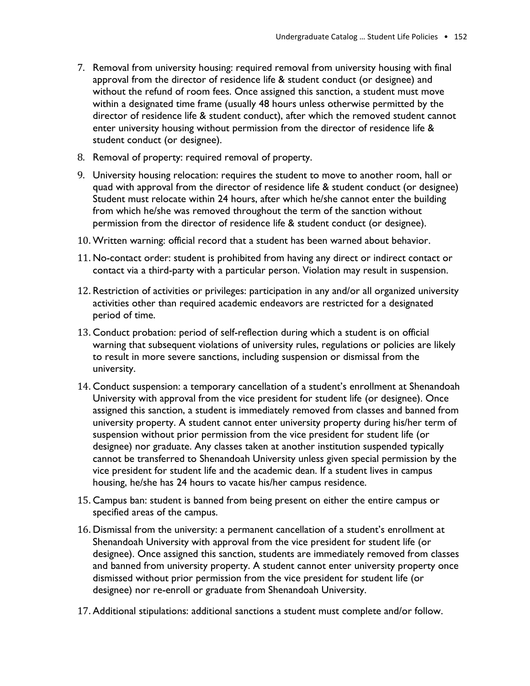- 7. Removal from university housing: required removal from university housing with final approval from the director of residence life & student conduct (or designee) and without the refund of room fees. Once assigned this sanction, a student must move within a designated time frame (usually 48 hours unless otherwise permitted by the director of residence life & student conduct), after which the removed student cannot enter university housing without permission from the director of residence life & student conduct (or designee).
- 8. Removal of property: required removal of property.
- 9. University housing relocation: requires the student to move to another room, hall or quad with approval from the director of residence life & student conduct (or designee) Student must relocate within 24 hours, after which he/she cannot enter the building from which he/she was removed throughout the term of the sanction without permission from the director of residence life & student conduct (or designee).
- 10. Written warning: official record that a student has been warned about behavior.
- 11. No-contact order: student is prohibited from having any direct or indirect contact or contact via a third-party with a particular person. Violation may result in suspension.
- 12. Restriction of activities or privileges: participation in any and/or all organized university activities other than required academic endeavors are restricted for a designated period of time.
- 13. Conduct probation: period of self-reflection during which a student is on official warning that subsequent violations of university rules, regulations or policies are likely to result in more severe sanctions, including suspension or dismissal from the university.
- 14. Conduct suspension: a temporary cancellation of a student's enrollment at Shenandoah University with approval from the vice president for student life (or designee). Once assigned this sanction, a student is immediately removed from classes and banned from university property. A student cannot enter university property during his/her term of suspension without prior permission from the vice president for student life (or designee) nor graduate. Any classes taken at another institution suspended typically cannot be transferred to Shenandoah University unless given special permission by the vice president for student life and the academic dean. If a student lives in campus housing, he/she has 24 hours to vacate his/her campus residence.
- 15. Campus ban: student is banned from being present on either the entire campus or specified areas of the campus.
- 16. Dismissal from the university: a permanent cancellation of a student's enrollment at Shenandoah University with approval from the vice president for student life (or designee). Once assigned this sanction, students are immediately removed from classes and banned from university property. A student cannot enter university property once dismissed without prior permission from the vice president for student life (or designee) nor re-enroll or graduate from Shenandoah University.
- 17. Additional stipulations: additional sanctions a student must complete and/or follow.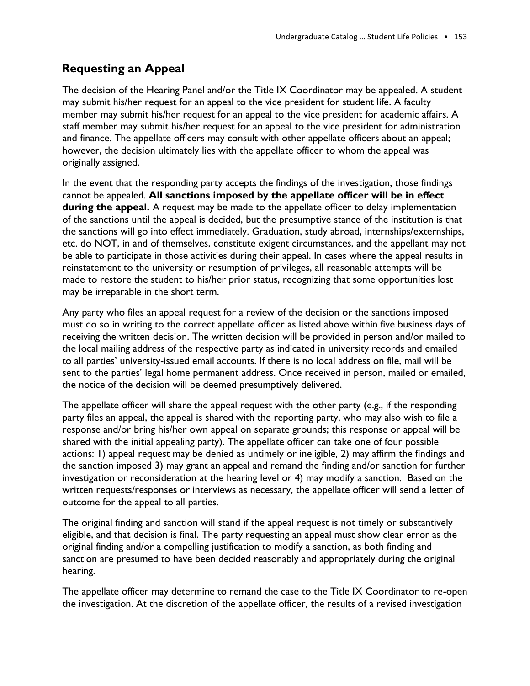# **Requesting an Appeal**

The decision of the Hearing Panel and/or the Title IX Coordinator may be appealed. A student may submit his/her request for an appeal to the vice president for student life. A faculty member may submit his/her request for an appeal to the vice president for academic affairs. A staff member may submit his/her request for an appeal to the vice president for administration and finance. The appellate officers may consult with other appellate officers about an appeal; however, the decision ultimately lies with the appellate officer to whom the appeal was originally assigned.

In the event that the responding party accepts the findings of the investigation, those findings cannot be appealed. **All sanctions imposed by the appellate officer will be in effect**  during the appeal. A request may be made to the appellate officer to delay implementation of the sanctions until the appeal is decided, but the presumptive stance of the institution is that the sanctions will go into effect immediately. Graduation, study abroad, internships/externships, etc. do NOT, in and of themselves, constitute exigent circumstances, and the appellant may not be able to participate in those activities during their appeal. In cases where the appeal results in reinstatement to the university or resumption of privileges, all reasonable attempts will be made to restore the student to his/her prior status, recognizing that some opportunities lost may be irreparable in the short term.

Any party who files an appeal request for a review of the decision or the sanctions imposed must do so in writing to the correct appellate officer as listed above within five business days of receiving the written decision. The written decision will be provided in person and/or mailed to the local mailing address of the respective party as indicated in university records and emailed to all parties' university-issued email accounts. If there is no local address on file, mail will be sent to the parties' legal home permanent address. Once received in person, mailed or emailed, the notice of the decision will be deemed presumptively delivered.

The appellate officer will share the appeal request with the other party (e.g., if the responding party files an appeal, the appeal is shared with the reporting party, who may also wish to file a response and/or bring his/her own appeal on separate grounds; this response or appeal will be shared with the initial appealing party). The appellate officer can take one of four possible actions: 1) appeal request may be denied as untimely or ineligible, 2) may affirm the findings and the sanction imposed 3) may grant an appeal and remand the finding and/or sanction for further investigation or reconsideration at the hearing level or 4) may modify a sanction. Based on the written requests/responses or interviews as necessary, the appellate officer will send a letter of outcome for the appeal to all parties.

The original finding and sanction will stand if the appeal request is not timely or substantively eligible, and that decision is final. The party requesting an appeal must show clear error as the original finding and/or a compelling justification to modify a sanction, as both finding and sanction are presumed to have been decided reasonably and appropriately during the original hearing.

The appellate officer may determine to remand the case to the Title IX Coordinator to re-open the investigation. At the discretion of the appellate officer, the results of a revised investigation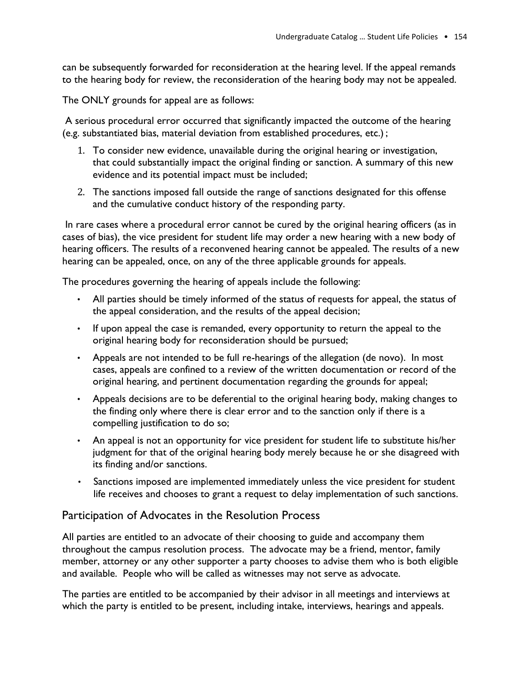can be subsequently forwarded for reconsideration at the hearing level. If the appeal remands to the hearing body for review, the reconsideration of the hearing body may not be appealed.

The ONLY grounds for appeal are as follows:

A serious procedural error occurred that significantly impacted the outcome of the hearing (e.g. substantiated bias, material deviation from established procedures, etc.) ;

- 1. To consider new evidence, unavailable during the original hearing or investigation, that could substantially impact the original finding or sanction. A summary of this new evidence and its potential impact must be included;
- 2. The sanctions imposed fall outside the range of sanctions designated for this offense and the cumulative conduct history of the responding party.

In rare cases where a procedural error cannot be cured by the original hearing officers (as in cases of bias), the vice president for student life may order a new hearing with a new body of hearing officers. The results of a reconvened hearing cannot be appealed. The results of a new hearing can be appealed, once, on any of the three applicable grounds for appeals.

The procedures governing the hearing of appeals include the following:

- All parties should be timely informed of the status of requests for appeal, the status of the appeal consideration, and the results of the appeal decision;
- If upon appeal the case is remanded, every opportunity to return the appeal to the original hearing body for reconsideration should be pursued;
- Appeals are not intended to be full re-hearings of the allegation (de novo). In most cases, appeals are confined to a review of the written documentation or record of the original hearing, and pertinent documentation regarding the grounds for appeal;
- Appeals decisions are to be deferential to the original hearing body, making changes to the finding only where there is clear error and to the sanction only if there is a compelling justification to do so;
- An appeal is not an opportunity for vice president for student life to substitute his/her judgment for that of the original hearing body merely because he or she disagreed with its finding and/or sanctions.
- Sanctions imposed are implemented immediately unless the vice president for student life receives and chooses to grant a request to delay implementation of such sanctions.

#### Participation of Advocates in the Resolution Process

All parties are entitled to an advocate of their choosing to guide and accompany them throughout the campus resolution process. The advocate may be a friend, mentor, family member, attorney or any other supporter a party chooses to advise them who is both eligible and available. People who will be called as witnesses may not serve as advocate.

The parties are entitled to be accompanied by their advisor in all meetings and interviews at which the party is entitled to be present, including intake, interviews, hearings and appeals.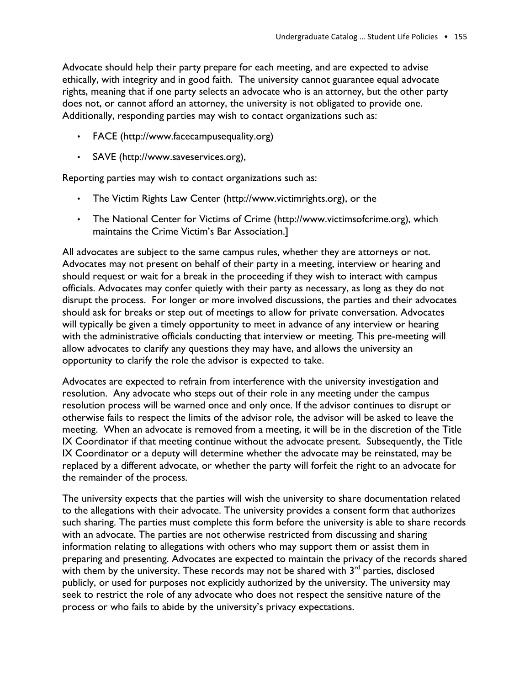Advocate should help their party prepare for each meeting, and are expected to advise ethically, with integrity and in good faith. The university cannot guarantee equal advocate rights, meaning that if one party selects an advocate who is an attorney, but the other party does not, or cannot afford an attorney, the university is not obligated to provide one. Additionally, responding parties may wish to contact organizations such as:

- FACE (http://www.facecampusequality.org)
- SAVE (http://www.saveservices.org),

Reporting parties may wish to contact organizations such as:

- The Victim Rights Law Center (http://www.victimrights.org), or the
- The National Center for Victims of Crime (http://www.victimsofcrime.org), which maintains the Crime Victim's Bar Association.]

All advocates are subject to the same campus rules, whether they are attorneys or not. Advocates may not present on behalf of their party in a meeting, interview or hearing and should request or wait for a break in the proceeding if they wish to interact with campus officials. Advocates may confer quietly with their party as necessary, as long as they do not disrupt the process. For longer or more involved discussions, the parties and their advocates should ask for breaks or step out of meetings to allow for private conversation. Advocates will typically be given a timely opportunity to meet in advance of any interview or hearing with the administrative officials conducting that interview or meeting. This pre-meeting will allow advocates to clarify any questions they may have, and allows the university an opportunity to clarify the role the advisor is expected to take.

Advocates are expected to refrain from interference with the university investigation and resolution. Any advocate who steps out of their role in any meeting under the campus resolution process will be warned once and only once. If the advisor continues to disrupt or otherwise fails to respect the limits of the advisor role, the advisor will be asked to leave the meeting. When an advocate is removed from a meeting, it will be in the discretion of the Title IX Coordinator if that meeting continue without the advocate present. Subsequently, the Title IX Coordinator or a deputy will determine whether the advocate may be reinstated, may be replaced by a different advocate, or whether the party will forfeit the right to an advocate for the remainder of the process.

The university expects that the parties will wish the university to share documentation related to the allegations with their advocate. The university provides a consent form that authorizes such sharing. The parties must complete this form before the university is able to share records with an advocate. The parties are not otherwise restricted from discussing and sharing information relating to allegations with others who may support them or assist them in preparing and presenting. Advocates are expected to maintain the privacy of the records shared with them by the university. These records may not be shared with  $3<sup>rd</sup>$  parties, disclosed publicly, or used for purposes not explicitly authorized by the university. The university may seek to restrict the role of any advocate who does not respect the sensitive nature of the process or who fails to abide by the university's privacy expectations.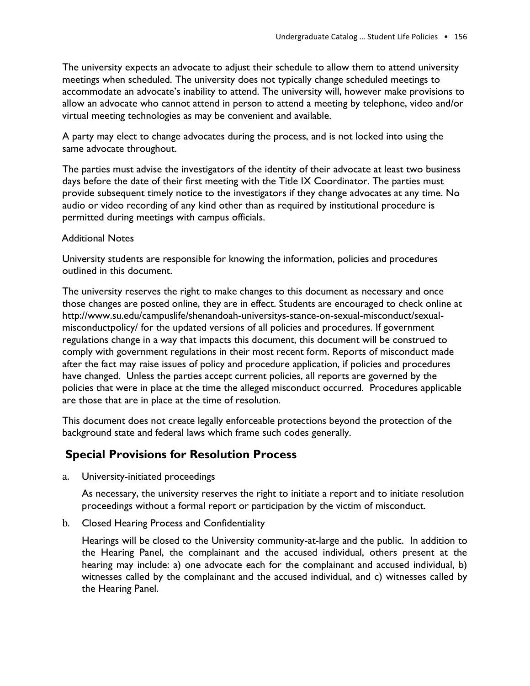The university expects an advocate to adjust their schedule to allow them to attend university meetings when scheduled. The university does not typically change scheduled meetings to accommodate an advocate's inability to attend. The university will, however make provisions to allow an advocate who cannot attend in person to attend a meeting by telephone, video and/or virtual meeting technologies as may be convenient and available.

A party may elect to change advocates during the process, and is not locked into using the same advocate throughout.

The parties must advise the investigators of the identity of their advocate at least two business days before the date of their first meeting with the Title IX Coordinator. The parties must provide subsequent timely notice to the investigators if they change advocates at any time. No audio or video recording of any kind other than as required by institutional procedure is permitted during meetings with campus officials.

#### Additional Notes

University students are responsible for knowing the information, policies and procedures outlined in this document.

The university reserves the right to make changes to this document as necessary and once those changes are posted online, they are in effect. Students are encouraged to check online at http://www.su.edu/campuslife/shenandoah-universitys-stance-on-sexual-misconduct/sexualmisconductpolicy/ for the updated versions of all policies and procedures. If government regulations change in a way that impacts this document, this document will be construed to comply with government regulations in their most recent form. Reports of misconduct made after the fact may raise issues of policy and procedure application, if policies and procedures have changed. Unless the parties accept current policies, all reports are governed by the policies that were in place at the time the alleged misconduct occurred. Procedures applicable are those that are in place at the time of resolution.

This document does not create legally enforceable protections beyond the protection of the background state and federal laws which frame such codes generally.

# **Special Provisions for Resolution Process**

a. University-initiated proceedings

As necessary, the university reserves the right to initiate a report and to initiate resolution proceedings without a formal report or participation by the victim of misconduct.

b. Closed Hearing Process and Confidentiality

Hearings will be closed to the University community-at-large and the public. In addition to the Hearing Panel, the complainant and the accused individual, others present at the hearing may include: a) one advocate each for the complainant and accused individual, b) witnesses called by the complainant and the accused individual, and c) witnesses called by the Hearing Panel.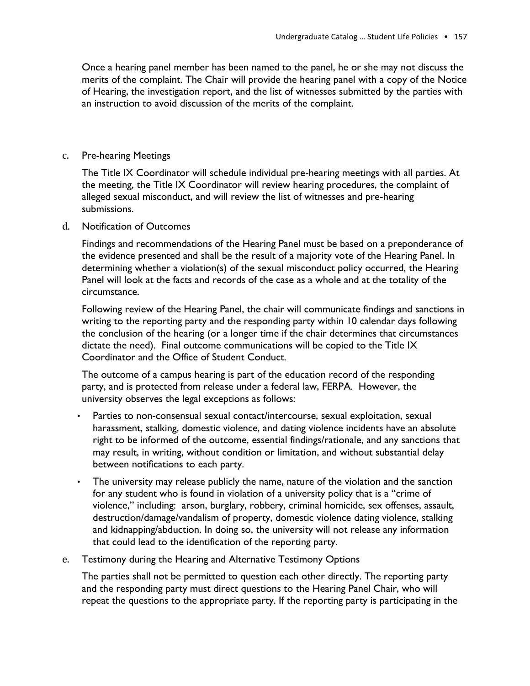Once a hearing panel member has been named to the panel, he or she may not discuss the merits of the complaint. The Chair will provide the hearing panel with a copy of the Notice of Hearing, the investigation report, and the list of witnesses submitted by the parties with an instruction to avoid discussion of the merits of the complaint.

#### c. Pre-hearing Meetings

The Title IX Coordinator will schedule individual pre-hearing meetings with all parties. At the meeting, the Title IX Coordinator will review hearing procedures, the complaint of alleged sexual misconduct, and will review the list of witnesses and pre-hearing submissions.

#### d. Notification of Outcomes

Findings and recommendations of the Hearing Panel must be based on a preponderance of the evidence presented and shall be the result of a majority vote of the Hearing Panel. In determining whether a violation(s) of the sexual misconduct policy occurred, the Hearing Panel will look at the facts and records of the case as a whole and at the totality of the circumstance.

Following review of the Hearing Panel, the chair will communicate findings and sanctions in writing to the reporting party and the responding party within 10 calendar days following the conclusion of the hearing (or a longer time if the chair determines that circumstances dictate the need). Final outcome communications will be copied to the Title IX Coordinator and the Office of Student Conduct.

The outcome of a campus hearing is part of the education record of the responding party, and is protected from release under a federal law, FERPA. However, the university observes the legal exceptions as follows:

- Parties to non-consensual sexual contact/intercourse, sexual exploitation, sexual harassment, stalking, domestic violence, and dating violence incidents have an absolute right to be informed of the outcome, essential findings/rationale, and any sanctions that may result, in writing, without condition or limitation, and without substantial delay between notifications to each party.
- The university may release publicly the name, nature of the violation and the sanction for any student who is found in violation of a university policy that is a "crime of violence," including: arson, burglary, robbery, criminal homicide, sex offenses, assault, destruction/damage/vandalism of property, domestic violence dating violence, stalking and kidnapping/abduction. In doing so, the university will not release any information that could lead to the identification of the reporting party.
- e. Testimony during the Hearing and Alternative Testimony Options

The parties shall not be permitted to question each other directly. The reporting party and the responding party must direct questions to the Hearing Panel Chair, who will repeat the questions to the appropriate party. If the reporting party is participating in the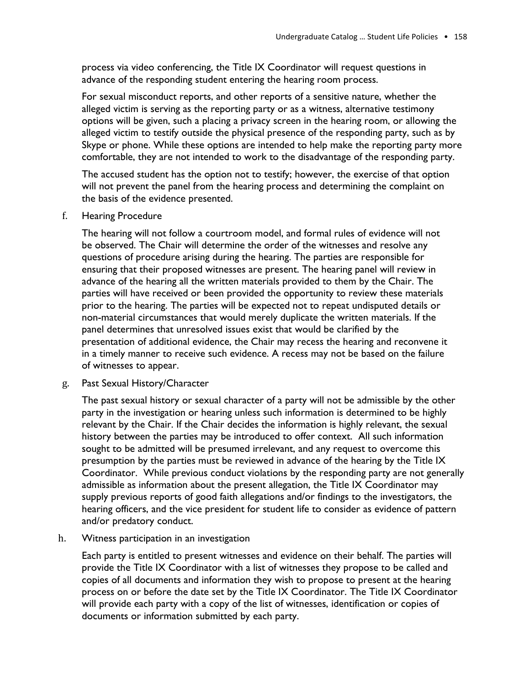process via video conferencing, the Title IX Coordinator will request questions in advance of the responding student entering the hearing room process.

For sexual misconduct reports, and other reports of a sensitive nature, whether the alleged victim is serving as the reporting party or as a witness, alternative testimony options will be given, such a placing a privacy screen in the hearing room, or allowing the alleged victim to testify outside the physical presence of the responding party, such as by Skype or phone. While these options are intended to help make the reporting party more comfortable, they are not intended to work to the disadvantage of the responding party.

The accused student has the option not to testify; however, the exercise of that option will not prevent the panel from the hearing process and determining the complaint on the basis of the evidence presented.

f. Hearing Procedure

The hearing will not follow a courtroom model, and formal rules of evidence will not be observed. The Chair will determine the order of the witnesses and resolve any questions of procedure arising during the hearing. The parties are responsible for ensuring that their proposed witnesses are present. The hearing panel will review in advance of the hearing all the written materials provided to them by the Chair. The parties will have received or been provided the opportunity to review these materials prior to the hearing. The parties will be expected not to repeat undisputed details or non-material circumstances that would merely duplicate the written materials. If the panel determines that unresolved issues exist that would be clarified by the presentation of additional evidence, the Chair may recess the hearing and reconvene it in a timely manner to receive such evidence. A recess may not be based on the failure of witnesses to appear.

g. Past Sexual History/Character

The past sexual history or sexual character of a party will not be admissible by the other party in the investigation or hearing unless such information is determined to be highly relevant by the Chair. If the Chair decides the information is highly relevant, the sexual history between the parties may be introduced to offer context. All such information sought to be admitted will be presumed irrelevant, and any request to overcome this presumption by the parties must be reviewed in advance of the hearing by the Title IX Coordinator. While previous conduct violations by the responding party are not generally admissible as information about the present allegation, the Title IX Coordinator may supply previous reports of good faith allegations and/or findings to the investigators, the hearing officers, and the vice president for student life to consider as evidence of pattern and/or predatory conduct.

h. Witness participation in an investigation

Each party is entitled to present witnesses and evidence on their behalf. The parties will provide the Title IX Coordinator with a list of witnesses they propose to be called and copies of all documents and information they wish to propose to present at the hearing process on or before the date set by the Title IX Coordinator. The Title IX Coordinator will provide each party with a copy of the list of witnesses, identification or copies of documents or information submitted by each party.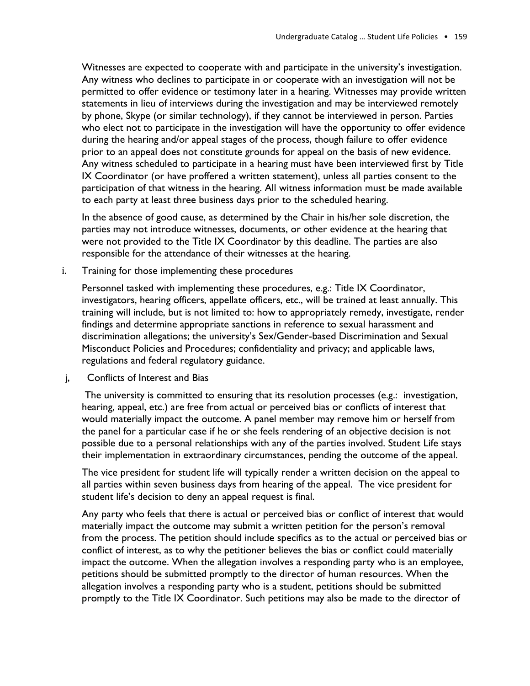Witnesses are expected to cooperate with and participate in the university's investigation. Any witness who declines to participate in or cooperate with an investigation will not be permitted to offer evidence or testimony later in a hearing. Witnesses may provide written statements in lieu of interviews during the investigation and may be interviewed remotely by phone, Skype (or similar technology), if they cannot be interviewed in person. Parties who elect not to participate in the investigation will have the opportunity to offer evidence during the hearing and/or appeal stages of the process, though failure to offer evidence prior to an appeal does not constitute grounds for appeal on the basis of new evidence. Any witness scheduled to participate in a hearing must have been interviewed first by Title IX Coordinator (or have proffered a written statement), unless all parties consent to the participation of that witness in the hearing. All witness information must be made available to each party at least three business days prior to the scheduled hearing.

In the absence of good cause, as determined by the Chair in his/her sole discretion, the parties may not introduce witnesses, documents, or other evidence at the hearing that were not provided to the Title IX Coordinator by this deadline. The parties are also responsible for the attendance of their witnesses at the hearing.

i. Training for those implementing these procedures

Personnel tasked with implementing these procedures, e.g.: Title IX Coordinator, investigators, hearing officers, appellate officers, etc., will be trained at least annually. This training will include, but is not limited to: how to appropriately remedy, investigate, render findings and determine appropriate sanctions in reference to sexual harassment and discrimination allegations; the university's Sex/Gender-based Discrimination and Sexual Misconduct Policies and Procedures; confidentiality and privacy; and applicable laws, regulations and federal regulatory guidance.

j, Conflicts of Interest and Bias

The university is committed to ensuring that its resolution processes (e.g.: investigation, hearing, appeal, etc.) are free from actual or perceived bias or conflicts of interest that would materially impact the outcome. A panel member may remove him or herself from the panel for a particular case if he or she feels rendering of an objective decision is not possible due to a personal relationships with any of the parties involved. Student Life stays their implementation in extraordinary circumstances, pending the outcome of the appeal.

The vice president for student life will typically render a written decision on the appeal to all parties within seven business days from hearing of the appeal. The vice president for student life's decision to deny an appeal request is final.

Any party who feels that there is actual or perceived bias or conflict of interest that would materially impact the outcome may submit a written petition for the person's removal from the process. The petition should include specifics as to the actual or perceived bias or conflict of interest, as to why the petitioner believes the bias or conflict could materially impact the outcome. When the allegation involves a responding party who is an employee, petitions should be submitted promptly to the director of human resources. When the allegation involves a responding party who is a student, petitions should be submitted promptly to the Title IX Coordinator. Such petitions may also be made to the director of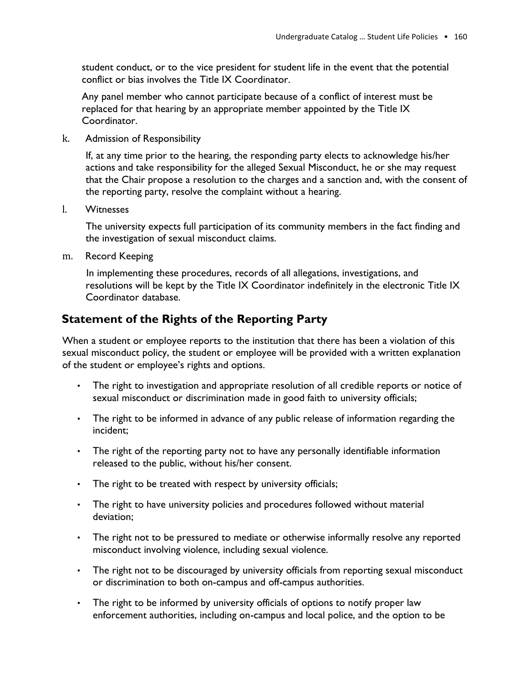student conduct, or to the vice president for student life in the event that the potential conflict or bias involves the Title IX Coordinator.

Any panel member who cannot participate because of a conflict of interest must be replaced for that hearing by an appropriate member appointed by the Title IX Coordinator.

k. Admission of Responsibility

If, at any time prior to the hearing, the responding party elects to acknowledge his/her actions and take responsibility for the alleged Sexual Misconduct, he or she may request that the Chair propose a resolution to the charges and a sanction and, with the consent of the reporting party, resolve the complaint without a hearing.

l. Witnesses

The university expects full participation of its community members in the fact finding and the investigation of sexual misconduct claims.

m. Record Keeping

In implementing these procedures, records of all allegations, investigations, and resolutions will be kept by the Title IX Coordinator indefinitely in the electronic Title IX Coordinator database.

# **Statement of the Rights of the Reporting Party**

When a student or employee reports to the institution that there has been a violation of this sexual misconduct policy, the student or employee will be provided with a written explanation of the student or employee's rights and options.

- The right to investigation and appropriate resolution of all credible reports or notice of sexual misconduct or discrimination made in good faith to university officials;
- The right to be informed in advance of any public release of information regarding the incident;
- The right of the reporting party not to have any personally identifiable information released to the public, without his/her consent.
- The right to be treated with respect by university officials;
- The right to have university policies and procedures followed without material deviation;
- The right not to be pressured to mediate or otherwise informally resolve any reported misconduct involving violence, including sexual violence.
- The right not to be discouraged by university officials from reporting sexual misconduct or discrimination to both on-campus and off-campus authorities.
- The right to be informed by university officials of options to notify proper law enforcement authorities, including on-campus and local police, and the option to be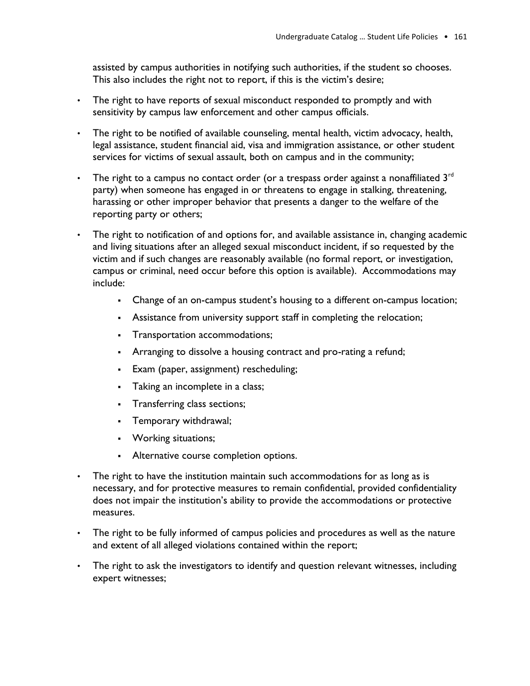assisted by campus authorities in notifying such authorities, if the student so chooses. This also includes the right not to report, if this is the victim's desire;

- The right to have reports of sexual misconduct responded to promptly and with sensitivity by campus law enforcement and other campus officials.
- The right to be notified of available counseling, mental health, victim advocacy, health, legal assistance, student financial aid, visa and immigration assistance, or other student services for victims of sexual assault, both on campus and in the community;
- The right to a campus no contact order (or a trespass order against a nonaffiliated  $3<sup>rd</sup>$ party) when someone has engaged in or threatens to engage in stalking, threatening, harassing or other improper behavior that presents a danger to the welfare of the reporting party or others;
- The right to notification of and options for, and available assistance in, changing academic and living situations after an alleged sexual misconduct incident, if so requested by the victim and if such changes are reasonably available (no formal report, or investigation, campus or criminal, need occur before this option is available). Accommodations may include:
	- Change of an on-campus student's housing to a different on-campus location;
	- **•** Assistance from university support staff in completing the relocation;
	- Transportation accommodations;
	- **•** Arranging to dissolve a housing contract and pro-rating a refund;
	- Exam (paper, assignment) rescheduling;
	- **•** Taking an incomplete in a class;
	- Transferring class sections;
	- Temporary withdrawal;
	- Working situations;
	- Alternative course completion options.
- The right to have the institution maintain such accommodations for as long as is necessary, and for protective measures to remain confidential, provided confidentiality does not impair the institution's ability to provide the accommodations or protective measures.
- The right to be fully informed of campus policies and procedures as well as the nature and extent of all alleged violations contained within the report;
- The right to ask the investigators to identify and question relevant witnesses, including expert witnesses;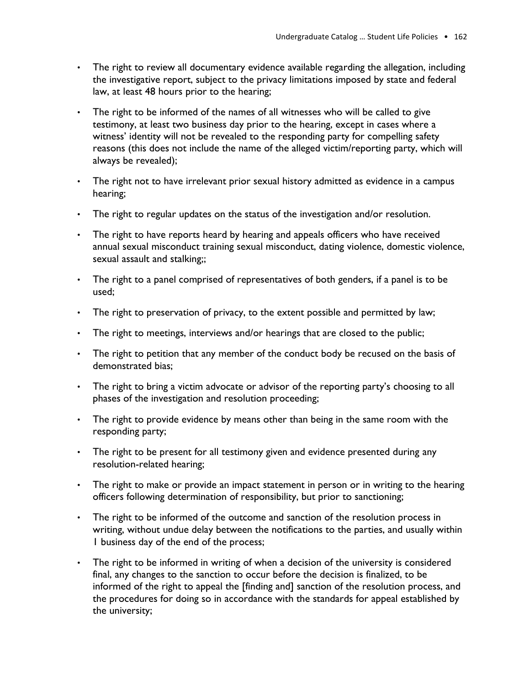- The right to review all documentary evidence available regarding the allegation, including the investigative report, subject to the privacy limitations imposed by state and federal law, at least 48 hours prior to the hearing;
- The right to be informed of the names of all witnesses who will be called to give testimony, at least two business day prior to the hearing, except in cases where a witness' identity will not be revealed to the responding party for compelling safety reasons (this does not include the name of the alleged victim/reporting party, which will always be revealed);
- The right not to have irrelevant prior sexual history admitted as evidence in a campus hearing;
- The right to regular updates on the status of the investigation and/or resolution.
- The right to have reports heard by hearing and appeals officers who have received annual sexual misconduct training sexual misconduct, dating violence, domestic violence, sexual assault and stalking;;
- The right to a panel comprised of representatives of both genders, if a panel is to be used;
- The right to preservation of privacy, to the extent possible and permitted by law;
- The right to meetings, interviews and/or hearings that are closed to the public;
- The right to petition that any member of the conduct body be recused on the basis of demonstrated bias;
- The right to bring a victim advocate or advisor of the reporting party's choosing to all phases of the investigation and resolution proceeding;
- The right to provide evidence by means other than being in the same room with the responding party;
- The right to be present for all testimony given and evidence presented during any resolution-related hearing;
- The right to make or provide an impact statement in person or in writing to the hearing officers following determination of responsibility, but prior to sanctioning;
- The right to be informed of the outcome and sanction of the resolution process in writing, without undue delay between the notifications to the parties, and usually within 1 business day of the end of the process;
- The right to be informed in writing of when a decision of the university is considered final, any changes to the sanction to occur before the decision is finalized, to be informed of the right to appeal the [finding and] sanction of the resolution process, and the procedures for doing so in accordance with the standards for appeal established by the university;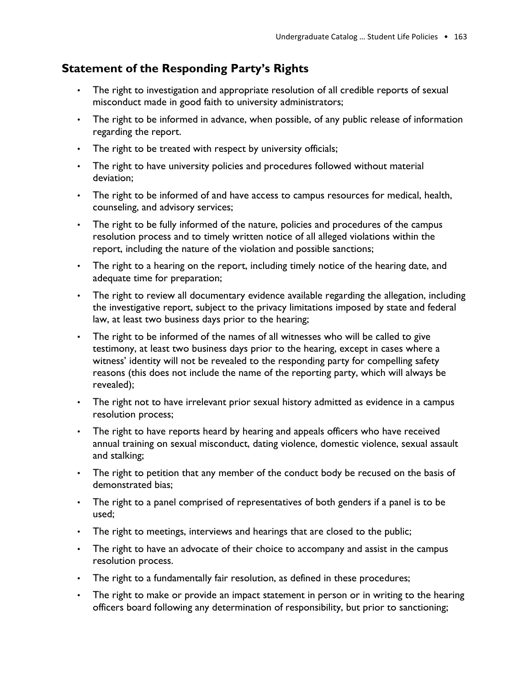# **Statement of the Responding Party's Rights**

- The right to investigation and appropriate resolution of all credible reports of sexual misconduct made in good faith to university administrators;
- The right to be informed in advance, when possible, of any public release of information regarding the report.
- The right to be treated with respect by university officials;
- The right to have university policies and procedures followed without material deviation;
- The right to be informed of and have access to campus resources for medical, health, counseling, and advisory services;
- The right to be fully informed of the nature, policies and procedures of the campus resolution process and to timely written notice of all alleged violations within the report, including the nature of the violation and possible sanctions;
- The right to a hearing on the report, including timely notice of the hearing date, and adequate time for preparation;
- The right to review all documentary evidence available regarding the allegation, including the investigative report, subject to the privacy limitations imposed by state and federal law, at least two business days prior to the hearing;
- The right to be informed of the names of all witnesses who will be called to give testimony, at least two business days prior to the hearing, except in cases where a witness' identity will not be revealed to the responding party for compelling safety reasons (this does not include the name of the reporting party, which will always be revealed);
- The right not to have irrelevant prior sexual history admitted as evidence in a campus resolution process;
- The right to have reports heard by hearing and appeals officers who have received annual training on sexual misconduct, dating violence, domestic violence, sexual assault and stalking;
- The right to petition that any member of the conduct body be recused on the basis of demonstrated bias;
- The right to a panel comprised of representatives of both genders if a panel is to be used;
- The right to meetings, interviews and hearings that are closed to the public;
- The right to have an advocate of their choice to accompany and assist in the campus resolution process.
- The right to a fundamentally fair resolution, as defined in these procedures;
- The right to make or provide an impact statement in person or in writing to the hearing officers board following any determination of responsibility, but prior to sanctioning;